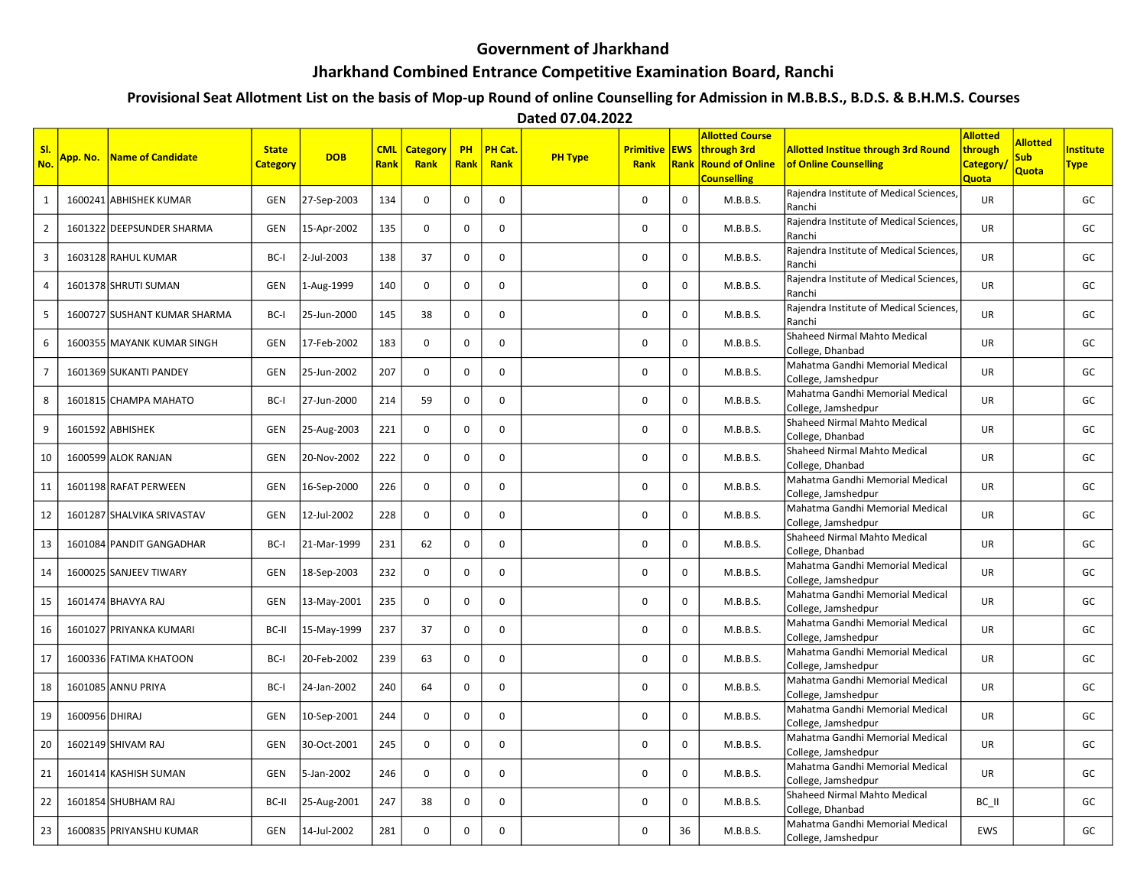## Government of Jharkhand Jharkhand Combined Entrance Competitive Examination Board, Ranchi

## Provisional Seat Allotment List on the basis of Mop-up Round of online Counselling for Admission in M.B.B.S., B.D.S. & B.H.M.S. Courses

Dated 07.04.2022

| SI.<br>No.              | App. No.       | Name of Candidate            | <b>State</b><br><b>Category</b> | <b>DOB</b>  | <b>CML</b><br>Rank | Category<br>Rank | PH<br>Rank  | <b>PH Cat</b><br>Rank | <b>PH Type</b> | <b>Primitive EWS</b><br><b>Rank</b> | Rank        | <b>Allotted Course</b><br>through 3rd<br><b>Round of Online</b><br><b>Counselling</b> | <b>Allotted Institue through 3rd Round</b><br>of Online Counselling | <b>Allotted</b><br>through<br><b>Category</b><br>Quota | <b>Allotted</b><br><b>Sub</b><br>Quota | <b>Institute</b><br><b>Type</b> |
|-------------------------|----------------|------------------------------|---------------------------------|-------------|--------------------|------------------|-------------|-----------------------|----------------|-------------------------------------|-------------|---------------------------------------------------------------------------------------|---------------------------------------------------------------------|--------------------------------------------------------|----------------------------------------|---------------------------------|
| $\mathbf{1}$            |                | 1600241 ABHISHEK KUMAR       | GEN                             | 27-Sep-2003 | 134                | $\mathbf 0$      | $\mathbf 0$ | $\mathbf 0$           |                | $\mathbf 0$                         | $\mathbf 0$ | M.B.B.S.                                                                              | Rajendra Institute of Medical Sciences,<br>Ranchi                   | <b>UR</b>                                              |                                        | GC                              |
| $\overline{2}$          |                | 1601322 DEEPSUNDER SHARMA    | GEN                             | 15-Apr-2002 | 135                | $\mathbf 0$      | $\mathbf 0$ | $\mathbf 0$           |                | $\mathbf 0$                         | 0           | M.B.B.S.                                                                              | Rajendra Institute of Medical Sciences,<br>Ranchi                   | <b>UR</b>                                              |                                        | GC                              |
| 3                       |                | 1603128 RAHUL KUMAR          | BC-I                            | 2-Jul-2003  | 138                | 37               | $\mathbf 0$ | $\mathbf 0$           |                | $\mathbf 0$                         | 0           | M.B.B.S.                                                                              | Rajendra Institute of Medical Sciences,<br>Ranchi                   | UR                                                     |                                        | GC                              |
| $\overline{\mathbf{4}}$ |                | 1601378 SHRUTI SUMAN         | GEN                             | 1-Aug-1999  | 140                | $\mathbf 0$      | $\mathbf 0$ | 0                     |                | $\pmb{0}$                           | 0           | M.B.B.S.                                                                              | Rajendra Institute of Medical Sciences,<br>Ranchi                   | UR                                                     |                                        | GC                              |
| 5                       |                | 1600727 SUSHANT KUMAR SHARMA | BC-I                            | 25-Jun-2000 | 145                | 38               | $\mathbf 0$ | $\mathsf 0$           |                | $\pmb{0}$                           | 0           | M.B.B.S.                                                                              | Rajendra Institute of Medical Sciences,<br>Ranchi                   | UR                                                     |                                        | GC                              |
| 6                       |                | 1600355 MAYANK KUMAR SINGH   | GEN                             | 17-Feb-2002 | 183                | $\mathbf 0$      | $\mathbf 0$ | $\mathbf 0$           |                | $\pmb{0}$                           | 0           | M.B.B.S.                                                                              | Shaheed Nirmal Mahto Medical<br>College, Dhanbad                    | UR                                                     |                                        | GC                              |
| $\overline{7}$          |                | 1601369 SUKANTI PANDEY       | GEN                             | 25-Jun-2002 | 207                | $\mathbf 0$      | $\mathbf 0$ | $\mathbf 0$           |                | $\mathbf 0$                         | 0           | M.B.B.S.                                                                              | Mahatma Gandhi Memorial Medical<br>College, Jamshedpur              | <b>UR</b>                                              |                                        | GC                              |
| 8                       |                | 1601815 CHAMPA MAHATO        | BC-I                            | 27-Jun-2000 | 214                | 59               | $\mathbf 0$ | $\mathbf 0$           |                | $\mathbf 0$                         | 0           | M.B.B.S.                                                                              | Mahatma Gandhi Memorial Medical<br>College, Jamshedpur              | UR.                                                    |                                        | GC                              |
| 9                       |                | 1601592 ABHISHEK             | GEN                             | 25-Aug-2003 | 221                | $\mathbf 0$      | $\mathbf 0$ | $\mathbf 0$           |                | 0                                   | 0           | M.B.B.S.                                                                              | Shaheed Nirmal Mahto Medical<br>College, Dhanbad                    | UR                                                     |                                        | GC                              |
| 10                      |                | 1600599 ALOK RANJAN          | <b>GEN</b>                      | 20-Nov-2002 | 222                | $\mathbf 0$      | $\mathbf 0$ | $\mathbf 0$           |                | $\pmb{0}$                           | 0           | M.B.B.S.                                                                              | Shaheed Nirmal Mahto Medical<br>College, Dhanbad                    | <b>UR</b>                                              |                                        | GC                              |
| 11                      |                | 1601198 RAFAT PERWEEN        | <b>GEN</b>                      | 16-Sep-2000 | 226                | $\mathbf 0$      | $\mathbf 0$ | $\mathbf 0$           |                | $\mathbf 0$                         | $\mathbf 0$ | M.B.B.S.                                                                              | Mahatma Gandhi Memorial Medical<br>College, Jamshedpur              | <b>UR</b>                                              |                                        | GC                              |
| 12                      |                | 1601287 SHALVIKA SRIVASTAV   | GEN                             | 12-Jul-2002 | 228                | $\mathbf 0$      | $\mathbf 0$ | $\mathbf 0$           |                | $\mathbf 0$                         | 0           | M.B.B.S.                                                                              | Mahatma Gandhi Memorial Medical<br>College, Jamshedpur              | <b>UR</b>                                              |                                        | GC                              |
| 13                      |                | 1601084 PANDIT GANGADHAR     | BC-I                            | 21-Mar-1999 | 231                | 62               | $\mathbf 0$ | 0                     |                | 0                                   | 0           | M.B.B.S.                                                                              | Shaheed Nirmal Mahto Medical<br>College, Dhanbad                    | UR                                                     |                                        | GC                              |
| 14                      |                | 1600025 SANJEEV TIWARY       | GEN                             | 18-Sep-2003 | 232                | $\mathbf 0$      | $\mathbf 0$ | $\mathbf 0$           |                | $\pmb{0}$                           | 0           | M.B.B.S.                                                                              | Mahatma Gandhi Memorial Medical<br>College, Jamshedpur              | UR                                                     |                                        | GC                              |
| 15                      |                | 1601474 BHAVYA RAJ           | GEN                             | 13-May-2001 | 235                | $\mathbf 0$      | 0           | $\mathbf 0$           |                | 0                                   | 0           | M.B.B.S.                                                                              | Mahatma Gandhi Memorial Medical<br>College, Jamshedpur              | <b>UR</b>                                              |                                        | GC                              |
| 16                      |                | 1601027 PRIYANKA KUMARI      | BC-II                           | 15-May-1999 | 237                | 37               | $\mathbf 0$ | $\mathbf{0}$          |                | $\mathbf 0$                         | 0           | M.B.B.S.                                                                              | Mahatma Gandhi Memorial Medical<br>College, Jamshedpur              | <b>UR</b>                                              |                                        | GC                              |
| 17                      |                | 1600336 FATIMA KHATOON       | BC-I                            | 20-Feb-2002 | 239                | 63               | $\mathbf 0$ | $\mathbf 0$           |                | 0                                   | 0           | M.B.B.S.                                                                              | Mahatma Gandhi Memorial Medical<br>College, Jamshedpur              | UR                                                     |                                        | GC                              |
| 18                      |                | 1601085 ANNU PRIYA           | BC-I                            | 24-Jan-2002 | 240                | 64               | $\mathbf 0$ | $\mathbf 0$           |                | $\pmb{0}$                           | 0           | M.B.B.S.                                                                              | Mahatma Gandhi Memorial Medical<br>College, Jamshedpur              | UR                                                     |                                        | GC                              |
| 19                      | 1600956 DHIRAJ |                              | <b>GEN</b>                      | 10-Sep-2001 | 244                | $\mathbf 0$      | 0           | 0                     |                | $\mathbf 0$                         | 0           | M.B.B.S.                                                                              | Mahatma Gandhi Memorial Medical<br>College, Jamshedpur              | <b>UR</b>                                              |                                        | GC                              |
| 20                      |                | 1602149 SHIVAM RAJ           | GEN                             | 30-Oct-2001 | 245                | $\mathbf 0$      | $\mathbf 0$ | $\mathbf 0$           |                | $\mathbf 0$                         | 0           | M.B.B.S.                                                                              | Mahatma Gandhi Memorial Medical<br>College, Jamshedpur              | <b>UR</b>                                              |                                        | GC                              |
| 21                      |                | 1601414 KASHISH SUMAN        | GEN                             | 5-Jan-2002  | 246                | $\mathbf 0$      | $\mathbf 0$ | $\mathbf 0$           |                | 0                                   | 0           | M.B.B.S.                                                                              | Mahatma Gandhi Memorial Medical<br>College, Jamshedpur              | UR                                                     |                                        | GC                              |
| 22                      |                | 1601854 SHUBHAM RAJ          | BC-II                           | 25-Aug-2001 | 247                | 38               | 0           | $\mathbf 0$           |                | $\pmb{0}$                           | 0           | M.B.B.S.                                                                              | Shaheed Nirmal Mahto Medical<br>College, Dhanbad                    | BC II                                                  |                                        | GC                              |
| 23                      |                | 1600835 PRIYANSHU KUMAR      | GEN                             | 14-Jul-2002 | 281                | $\mathbf 0$      | $\mathbf 0$ | $\mathbf 0$           |                | $\mathbf 0$                         | 36          | M.B.B.S.                                                                              | Mahatma Gandhi Memorial Medical<br>College, Jamshedpur              | <b>EWS</b>                                             |                                        | GC                              |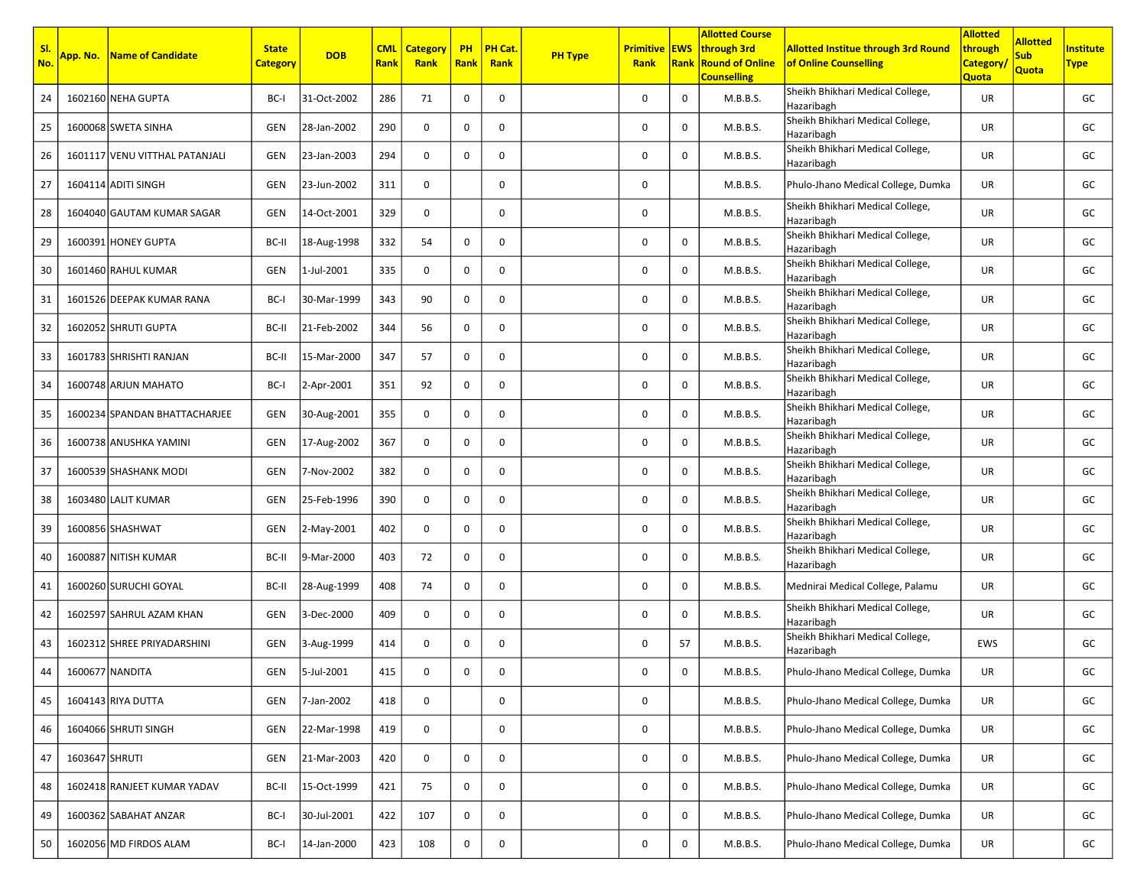| SI.<br>No. |                | <b>App. No. Name of Candidate</b> | <b>State</b><br><b>Category</b> | <b>DOB</b>  | <b>CML</b><br><b>Rank</b> | <b>Category</b><br>Rank | <b>PH</b><br><b>Rank</b> | PH Cat.<br>Rank | <b>PH Type</b> | <b>Primitive EWS</b><br><b>Rank</b> |              | <b>Allotted Course</b><br>through 3rd<br><b>Rank Round of Online</b><br><b>Counselling</b> | <b>Allotted Institue through 3rd Round</b><br>of Online Counselling | <b>Allotted</b><br>through<br><b>Category</b><br>Quota | <b>Allotted</b><br><b>Sub</b><br><b>Quota</b> | nstitute<br><b>Type</b> |
|------------|----------------|-----------------------------------|---------------------------------|-------------|---------------------------|-------------------------|--------------------------|-----------------|----------------|-------------------------------------|--------------|--------------------------------------------------------------------------------------------|---------------------------------------------------------------------|--------------------------------------------------------|-----------------------------------------------|-------------------------|
| 24         |                | 1602160 NEHA GUPTA                | BC-I                            | 31-Oct-2002 | 286                       | 71                      | 0                        | 0               |                | 0                                   | 0            | M.B.B.S.                                                                                   | Sheikh Bhikhari Medical College,<br>Hazaribagh                      | UR                                                     |                                               | GC                      |
| 25         |                | 1600068 SWETA SINHA               | GEN                             | 28-Jan-2002 | 290                       | 0                       | 0                        | 0               |                | 0                                   | $\mathbf 0$  | M.B.B.S.                                                                                   | Sheikh Bhikhari Medical College,<br>Hazaribagh                      | UR                                                     |                                               | GC                      |
| 26         |                | 1601117 VENU VITTHAL PATANJALI    | GEN                             | 23-Jan-2003 | 294                       | $\mathbf 0$             | 0                        | 0               |                | 0                                   | 0            | M.B.B.S.                                                                                   | Sheikh Bhikhari Medical College,<br>Hazaribagh                      | UR                                                     |                                               | GC                      |
| 27         |                | 1604114 ADITI SINGH               | GEN                             | 23-Jun-2002 | 311                       | 0                       |                          | $\mathbf 0$     |                | 0                                   |              | M.B.B.S.                                                                                   | Phulo-Jhano Medical College, Dumka                                  | UR                                                     |                                               | GC                      |
| 28         |                | 1604040 GAUTAM KUMAR SAGAR        | GEN                             | 14-Oct-2001 | 329                       | $\mathbf 0$             |                          | $\mathsf{o}$    |                | 0                                   |              | M.B.B.S.                                                                                   | Sheikh Bhikhari Medical College,<br>Hazaribagh                      | UR                                                     |                                               | GC                      |
| 29         |                | 1600391 HONEY GUPTA               | BC-II                           | 18-Aug-1998 | 332                       | 54                      | 0                        | $\mathbf 0$     |                | 0                                   | 0            | M.B.B.S.                                                                                   | Sheikh Bhikhari Medical College,<br>Hazaribagh                      | UR                                                     |                                               | GC                      |
| 30         |                | 1601460 RAHUL KUMAR               | GEN                             | 1-Jul-2001  | 335                       | $\mathbf 0$             | 0                        | 0               |                | 0                                   | 0            | M.B.B.S.                                                                                   | Sheikh Bhikhari Medical College,<br>Hazaribagh                      | UR                                                     |                                               | GC                      |
| 31         |                | 1601526 DEEPAK KUMAR RANA         | BC-I                            | 30-Mar-1999 | 343                       | 90                      | 0                        | 0               |                | 0                                   | 0            | M.B.B.S.                                                                                   | Sheikh Bhikhari Medical College,<br>Hazaribagh                      | UR                                                     |                                               | GC                      |
| 32         |                | 1602052 SHRUTI GUPTA              | BC-II                           | 21-Feb-2002 | 344                       | 56                      | 0                        | $\mathbf 0$     |                | 0                                   | 0            | M.B.B.S.                                                                                   | Sheikh Bhikhari Medical College,<br>Hazaribagh                      | UR                                                     |                                               | GC                      |
| 33         |                | 1601783 SHRISHTI RANJAN           | BC-II                           | 15-Mar-2000 | 347                       | 57                      | 0                        | $\mathbf 0$     |                | 0                                   | $\mathbf 0$  | M.B.B.S.                                                                                   | Sheikh Bhikhari Medical College,<br>Hazaribagh                      | <b>UR</b>                                              |                                               | GC                      |
| 34         |                | 1600748 ARJUN MAHATO              | BC-I                            | 2-Apr-2001  | 351                       | 92                      | 0                        | $\mathbf 0$     |                | 0                                   | 0            | M.B.B.S.                                                                                   | Sheikh Bhikhari Medical College,<br>Hazaribagh                      | UR                                                     |                                               | GC                      |
| 35         |                | 1600234 SPANDAN BHATTACHARJEE     | GEN                             | 30-Aug-2001 | 355                       | 0                       | 0                        | 0               |                | 0                                   | 0            | M.B.B.S.                                                                                   | Sheikh Bhikhari Medical College,<br>Hazaribagh                      | UR                                                     |                                               | GC                      |
| 36         |                | 1600738 ANUSHKA YAMINI            | GEN                             | 17-Aug-2002 | 367                       | $\mathbf 0$             | 0                        | $\mathbf 0$     |                | 0                                   | 0            | M.B.B.S.                                                                                   | Sheikh Bhikhari Medical College,<br>Hazaribagh                      | UR                                                     |                                               | GC                      |
| 37         |                | 1600539 SHASHANK MODI             | GEN                             | 7-Nov-2002  | 382                       | 0                       | 0                        | $\mathbf 0$     |                | 0                                   | 0            | M.B.B.S.                                                                                   | Sheikh Bhikhari Medical College,<br>Hazaribagh                      | UR                                                     |                                               | GC                      |
| 38         |                | 1603480 LALIT KUMAR               | <b>GEN</b>                      | 25-Feb-1996 | 390                       | $\mathbf 0$             | 0                        | 0               |                | 0                                   | $\mathbf 0$  | M.B.B.S.                                                                                   | Sheikh Bhikhari Medical College,<br>Hazaribagh                      | UR                                                     |                                               | GC                      |
| 39         |                | 1600856 SHASHWAT                  | GEN                             | 2-May-2001  | 402                       | $\mathbf 0$             | 0                        | $\mathbf 0$     |                | 0                                   | 0            | M.B.B.S.                                                                                   | Sheikh Bhikhari Medical College,<br>Hazaribagh                      | UR                                                     |                                               | GC                      |
| 40         |                | 1600887 NITISH KUMAR              | BC-II                           | 9-Mar-2000  | 403                       | 72                      | 0                        | 0               |                | 0                                   | 0            | M.B.B.S.                                                                                   | Sheikh Bhikhari Medical College,<br>Hazaribagh                      | UR                                                     |                                               | GC                      |
| 41         |                | 1600260 SURUCHI GOYAL             | BC-II                           | 28-Aug-1999 | 408                       | 74                      | 0                        | 0               |                | 0                                   | 0            | M.B.B.S.                                                                                   | Mednirai Medical College, Palamu                                    | UR                                                     |                                               | GC                      |
| 42         |                | 1602597 SAHRUL AZAM KHAN          | GEN                             | 3-Dec-2000  | 409                       | $\mathbf 0$             | 0                        | $\mathbf 0$     |                | 0                                   | $\mathbf 0$  | M.B.B.S.                                                                                   | Sheikh Bhikhari Medical College,<br>Hazaribagh                      | UR                                                     |                                               | GC                      |
| 43         |                | 1602312 SHREE PRIYADARSHINI       | GEN                             | 3-Aug-1999  | 414                       | $\mathbf 0$             | 0                        | $\mathbf 0$     |                | 0                                   | 57           | M.B.B.S.                                                                                   | Sheikh Bhikhari Medical College,<br>Hazaribagh                      | <b>EWS</b>                                             |                                               | GC                      |
| 44         |                | 1600677 NANDITA                   | GEN                             | 5-Jul-2001  | 415                       | 0                       | 0                        | 0               |                | 0                                   | 0            | M.B.B.S.                                                                                   | Phulo-Jhano Medical College, Dumka                                  | UR                                                     |                                               | GC                      |
| 45         |                | 1604143 RIYA DUTTA                | GEN                             | 7-Jan-2002  | 418                       | $\mathbf 0$             |                          | 0               |                | 0                                   |              | M.B.B.S.                                                                                   | Phulo-Jhano Medical College, Dumka                                  | UR                                                     |                                               | GC                      |
| 46         |                | 1604066 SHRUTI SINGH              | GEN                             | 22-Mar-1998 | 419                       | $\mathsf{O}$            |                          | $\mathsf{o}$    |                | 0                                   |              | M.B.B.S.                                                                                   | Phulo-Jhano Medical College, Dumka                                  | UR                                                     |                                               | GC                      |
| 47         | 1603647 SHRUTI |                                   | GEN                             | 21-Mar-2003 | 420                       | $\mathbf 0$             | 0                        | $\mathsf{o}$    |                | 0                                   | 0            | M.B.B.S.                                                                                   | Phulo-Jhano Medical College, Dumka                                  | UR                                                     |                                               | GC                      |
| 48         |                | 1602418 RANJEET KUMAR YADAV       | BC-II                           | 15-Oct-1999 | 421                       | 75                      | 0                        | $\mathbf 0$     |                | 0                                   | $\mathsf{O}$ | M.B.B.S.                                                                                   | Phulo-Jhano Medical College, Dumka                                  | UR                                                     |                                               | GC                      |
| 49         |                | 1600362 SABAHAT ANZAR             | BC-I                            | 30-Jul-2001 | 422                       | 107                     | 0                        | 0               |                | 0                                   | 0            | M.B.B.S.                                                                                   | Phulo-Jhano Medical College, Dumka                                  | UR                                                     |                                               | GC                      |
| 50         |                | 1602056 MD FIRDOS ALAM            | BC-I                            | 14-Jan-2000 | 423                       | 108                     | 0                        | 0               |                | 0                                   | 0            | M.B.B.S.                                                                                   | Phulo-Jhano Medical College, Dumka                                  | UR                                                     |                                               | GC                      |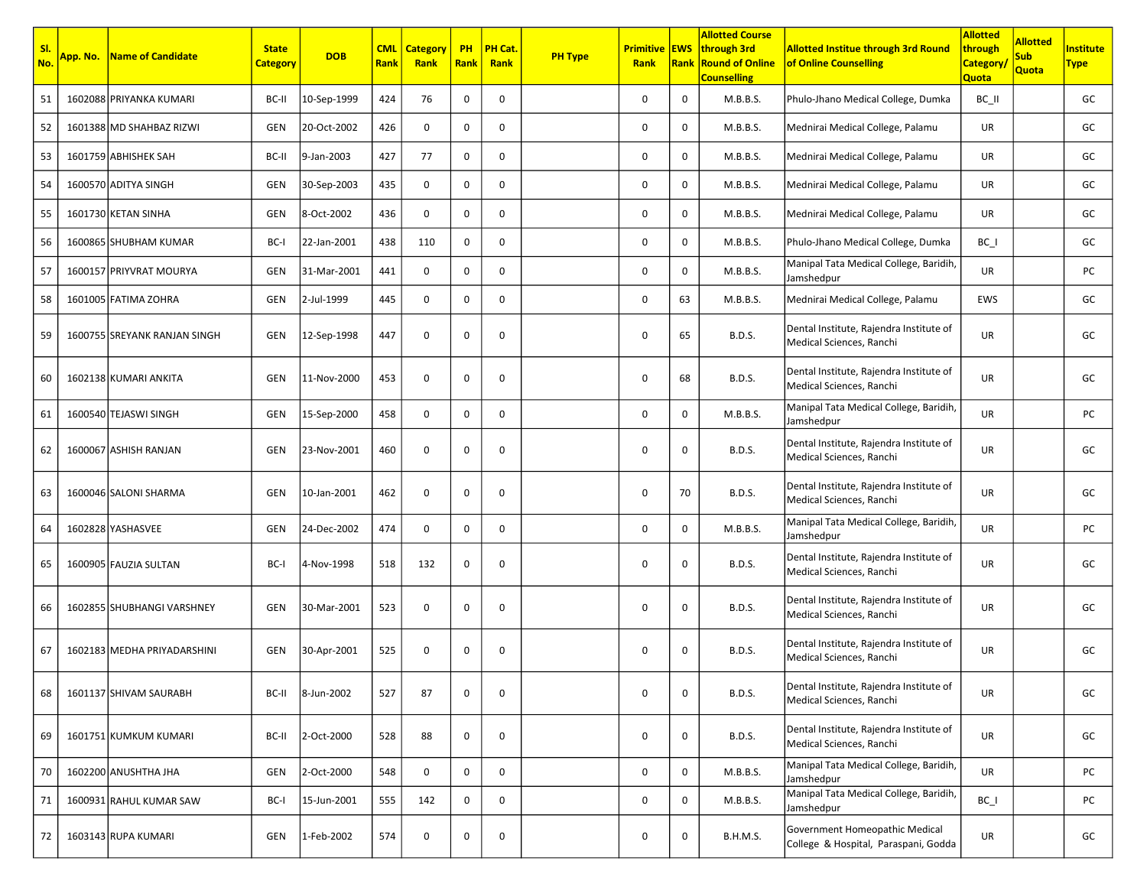| SI.<br>No. | App. No. | <b>Name of Candidate</b>     | <b>State</b><br><b>Category</b> | <b>DOB</b>  | <b>CML</b><br><b>Rank</b> | <b>Category</b><br>Rank | <b>PH</b><br>Rank | <b>PH Cat</b><br>Rank | <b>PH Type</b> | <b>Primitive EWS</b><br>Rank | Rank        | <b>Allotted Course</b><br>through 3rd<br><b>Round of Online</b><br><b>Counselling</b> | <b>Allotted Institue through 3rd Round</b><br>of Online Counselling    | <b>Allotted</b><br>through<br><b>Category</b><br>Quota | <b>Allotted</b><br><b>Sub</b><br>Quota | <b>Institute</b><br><b>Type</b> |
|------------|----------|------------------------------|---------------------------------|-------------|---------------------------|-------------------------|-------------------|-----------------------|----------------|------------------------------|-------------|---------------------------------------------------------------------------------------|------------------------------------------------------------------------|--------------------------------------------------------|----------------------------------------|---------------------------------|
| 51         |          | 1602088 PRIYANKA KUMARI      | BC-II                           | 10-Sep-1999 | 424                       | 76                      | 0                 | 0                     |                | 0                            | 0           | M.B.B.S.                                                                              | Phulo-Jhano Medical College, Dumka                                     | BC II                                                  |                                        | GC                              |
| 52         |          | 1601388 MD SHAHBAZ RIZWI     | GEN                             | 20-Oct-2002 | 426                       | 0                       | 0                 | $\mathbf 0$           |                | 0                            | $\mathbf 0$ | M.B.B.S.                                                                              | Mednirai Medical College, Palamu                                       | UR                                                     |                                        | GC                              |
| 53         |          | 1601759 ABHISHEK SAH         | BC-II                           | 9-Jan-2003  | 427                       | 77                      | 0                 | 0                     |                | 0                            | 0           | M.B.B.S.                                                                              | Mednirai Medical College, Palamu                                       | UR                                                     |                                        | GC                              |
| 54         |          | 1600570 ADITYA SINGH         | GEN                             | 30-Sep-2003 | 435                       | 0                       | 0                 | 0                     |                | 0                            | 0           | M.B.B.S.                                                                              | Mednirai Medical College, Palamu                                       | UR                                                     |                                        | GC                              |
| 55         |          | 1601730 KETAN SINHA          | GEN                             | 8-Oct-2002  | 436                       | 0                       | 0                 | 0                     |                | 0                            | $\mathbf 0$ | M.B.B.S.                                                                              | Mednirai Medical College, Palamu                                       | UR                                                     |                                        | GC                              |
| 56         |          | 1600865 SHUBHAM KUMAR        | BC-I                            | 22-Jan-2001 | 438                       | 110                     | 0                 | 0                     |                | $\mathbf 0$                  | 0           | M.B.B.S.                                                                              | Phulo-Jhano Medical College, Dumka                                     | $BC_$                                                  |                                        | GC                              |
| 57         |          | 1600157 PRIYVRAT MOURYA      | GEN                             | 31-Mar-2001 | 441                       | 0                       | $\mathbf 0$       | 0                     |                | 0                            | $\mathbf 0$ | M.B.B.S.                                                                              | Manipal Tata Medical College, Baridih,<br>Jamshedpur                   | UR                                                     |                                        | PC                              |
| 58         |          | 1601005 FATIMA ZOHRA         | GEN                             | 2-Jul-1999  | 445                       | 0                       | 0                 | 0                     |                | 0                            | 63          | M.B.B.S.                                                                              | Mednirai Medical College, Palamu                                       | EWS                                                    |                                        | GC                              |
| 59         |          | 1600755 SREYANK RANJAN SINGH | GEN                             | 12-Sep-1998 | 447                       | 0                       | 0                 | 0                     |                | 0                            | 65          | <b>B.D.S.</b>                                                                         | Dental Institute, Rajendra Institute of<br>Medical Sciences, Ranchi    | UR                                                     |                                        | GC                              |
| 60         |          | 1602138 KUMARI ANKITA        | <b>GEN</b>                      | 11-Nov-2000 | 453                       | 0                       | 0                 | 0                     |                | 0                            | 68          | <b>B.D.S.</b>                                                                         | Dental Institute, Rajendra Institute of<br>Medical Sciences, Ranchi    | UR                                                     |                                        | GC                              |
| 61         |          | 1600540 TEJASWI SINGH        | <b>GEN</b>                      | 15-Sep-2000 | 458                       | 0                       | 0                 | 0                     |                | 0                            | 0           | M.B.B.S.                                                                              | Manipal Tata Medical College, Baridih,<br>Jamshedpur                   | UR                                                     |                                        | PC                              |
| 62         |          | 1600067 ASHISH RANJAN        | <b>GEN</b>                      | 23-Nov-2001 | 460                       | 0                       | 0                 | 0                     |                | 0                            | 0           | <b>B.D.S.</b>                                                                         | Dental Institute, Rajendra Institute of<br>Medical Sciences, Ranchi    | UR                                                     |                                        | GC                              |
| 63         |          | 1600046 SALONI SHARMA        | <b>GEN</b>                      | 10-Jan-2001 | 462                       | 0                       | 0                 | 0                     |                | 0                            | 70          | <b>B.D.S.</b>                                                                         | Dental Institute, Rajendra Institute of<br>Medical Sciences, Ranchi    | UR                                                     |                                        | GC                              |
| 64         |          | 1602828 YASHASVEE            | GEN                             | 24-Dec-2002 | 474                       | $\mathbf 0$             | 0                 | 0                     |                | 0                            | 0           | M.B.B.S.                                                                              | Manipal Tata Medical College, Baridih,<br>Jamshedpur                   | UR                                                     |                                        | PC                              |
| 65         |          | 1600905 FAUZIA SULTAN        | BC-I                            | 4-Nov-1998  | 518                       | 132                     | 0                 | 0                     |                | 0                            | 0           | <b>B.D.S.</b>                                                                         | Dental Institute, Rajendra Institute of<br>Medical Sciences, Ranchi    | UR                                                     |                                        | GC                              |
| 66         |          | 1602855 SHUBHANGI VARSHNEY   | <b>GEN</b>                      | 30-Mar-2001 | 523                       | $\mathbf 0$             | 0                 | $\mathbf 0$           |                | 0                            | $\mathbf 0$ | <b>B.D.S.</b>                                                                         | Dental Institute, Rajendra Institute of<br>Medical Sciences, Ranchi    | UR                                                     |                                        | GC                              |
| 67         |          | 1602183 MEDHA PRIYADARSHINI  | GEN                             | 30-Apr-2001 | 525                       | 0                       | 0                 | 0                     |                | 0                            | 0           | <b>B.D.S.</b>                                                                         | Dental Institute, Rajendra Institute of<br>Medical Sciences, Ranchi    | <b>UR</b>                                              |                                        | GC                              |
| 68         |          | 1601137 SHIVAM SAURABH       | BC-II                           | 8-Jun-2002  | 527                       | 87                      | 0                 | 0                     |                | 0                            | 0           | <b>B.D.S.</b>                                                                         | Dental Institute, Rajendra Institute of<br>Medical Sciences, Ranchi    | UR                                                     |                                        | GC                              |
| 69         |          | 1601751 KUMKUM KUMARI        | BC-II                           | 2-Oct-2000  | 528                       | 88                      | 0                 | 0                     |                | 0                            | 0           | <b>B.D.S.</b>                                                                         | Dental Institute, Rajendra Institute of<br>Medical Sciences, Ranchi    | UR                                                     |                                        | GC                              |
| 70         |          | 1602200 ANUSHTHA JHA         | GEN                             | 2-Oct-2000  | 548                       | 0                       | 0                 | 0                     |                | 0                            | 0           | M.B.B.S.                                                                              | Manipal Tata Medical College, Baridih,<br>Jamshedpur                   | UR                                                     |                                        | PC                              |
| 71         |          | 1600931 RAHUL KUMAR SAW      | BC-I                            | 15-Jun-2001 | 555                       | 142                     | 0                 | 0                     |                | 0                            | 0           | M.B.B.S.                                                                              | Manipal Tata Medical College, Baridih,<br>Jamshedpur                   | $BC_$                                                  |                                        | PC                              |
| 72         |          | 1603143 RUPA KUMARI          | GEN                             | 1-Feb-2002  | 574                       | 0                       | 0                 | 0                     |                | 0                            | 0           | <b>B.H.M.S.</b>                                                                       | Government Homeopathic Medical<br>College & Hospital, Paraspani, Godda | UR                                                     |                                        | GC                              |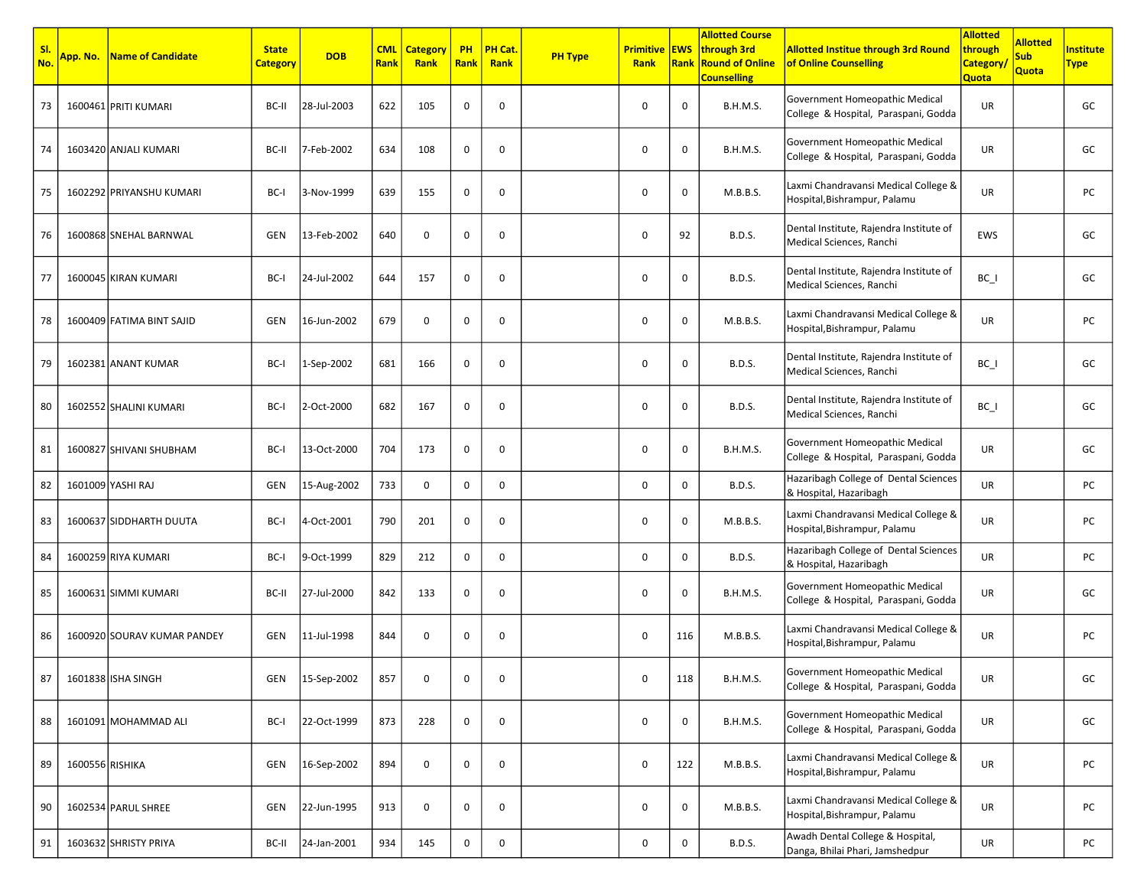| SI.<br>No. | App. No. l      | Name of Candidate           | <b>State</b><br><b>Category</b> | <b>DOB</b>  | <b>CML</b><br>Rank | <b>Category</b><br>Rank | <b>PH</b><br>Rank | PH Cat.<br>Rank | <b>PH Type</b> | <b>Primitive EWS</b><br>Rank | Rank        | <b>Allotted Course</b><br>through 3rd<br><b>Round of Online</b><br><b>Counselling</b> | <b>Allotted Institue through 3rd Round</b><br>of Online Counselling    | <b>Allotted</b><br>through<br><b>Category</b><br>Quota | <b>Allotted</b><br><b>Sub</b><br>Quota | <b>nstitute</b><br><b>Type</b> |
|------------|-----------------|-----------------------------|---------------------------------|-------------|--------------------|-------------------------|-------------------|-----------------|----------------|------------------------------|-------------|---------------------------------------------------------------------------------------|------------------------------------------------------------------------|--------------------------------------------------------|----------------------------------------|--------------------------------|
| 73         |                 | 1600461 PRITI KUMARI        | BC-II                           | 28-Jul-2003 | 622                | 105                     | 0                 | 0               |                | 0                            | $\mathbf 0$ | B.H.M.S.                                                                              | Government Homeopathic Medical<br>College & Hospital, Paraspani, Godda | UR                                                     |                                        | GC                             |
| 74         |                 | 1603420 ANJALI KUMARI       | BC-II                           | 7-Feb-2002  | 634                | 108                     | 0                 | 0               |                | $\mathbf 0$                  | $\mathbf 0$ | <b>B.H.M.S.</b>                                                                       | Government Homeopathic Medical<br>College & Hospital, Paraspani, Godda | UR                                                     |                                        | GC                             |
| 75         |                 | 1602292 PRIYANSHU KUMARI    | BC-I                            | 3-Nov-1999  | 639                | 155                     | 0                 | 0               |                | 0                            | $\mathbf 0$ | M.B.B.S.                                                                              | Laxmi Chandravansi Medical College &<br>Hospital, Bishrampur, Palamu   | UR                                                     |                                        | PC                             |
| 76         |                 | 1600868 SNEHAL BARNWAL      | GEN                             | 13-Feb-2002 | 640                | 0                       | $\mathbf 0$       | 0               |                | 0                            | 92          | <b>B.D.S.</b>                                                                         | Dental Institute, Rajendra Institute of<br>Medical Sciences, Ranchi    | EWS                                                    |                                        | GC                             |
| 77         |                 | 1600045 KIRAN KUMARI        | BC-I                            | 24-Jul-2002 | 644                | 157                     | 0                 | 0               |                | 0                            | 0           | <b>B.D.S.</b>                                                                         | Dental Institute, Rajendra Institute of<br>Medical Sciences, Ranchi    | $BC_$                                                  |                                        | GC                             |
| 78         |                 | 1600409 FATIMA BINT SAJID   | <b>GEN</b>                      | 16-Jun-2002 | 679                | 0                       | $\mathbf 0$       | 0               |                | 0                            | $\mathbf 0$ | M.B.B.S.                                                                              | Laxmi Chandravansi Medical College &<br>Hospital, Bishrampur, Palamu   | UR                                                     |                                        | PC                             |
| 79         |                 | 1602381 ANANT KUMAR         | BC-I                            | 1-Sep-2002  | 681                | 166                     | 0                 | $\mathbf 0$     |                | 0                            | $\mathbf 0$ | <b>B.D.S.</b>                                                                         | Dental Institute, Rajendra Institute of<br>Medical Sciences, Ranchi    | $BC_$                                                  |                                        | GC                             |
| 80         |                 | 1602552 SHALINI KUMARI      | BC-I                            | 2-Oct-2000  | 682                | 167                     | 0                 | 0               |                | 0                            | $\mathbf 0$ | <b>B.D.S.</b>                                                                         | Dental Institute, Rajendra Institute of<br>Medical Sciences, Ranchi    | $BC_$                                                  |                                        | GC                             |
| 81         |                 | 1600827 SHIVANI SHUBHAM     | BC-I                            | 13-Oct-2000 | 704                | 173                     | 0                 | 0               |                | 0                            | $\mathbf 0$ | <b>B.H.M.S.</b>                                                                       | Government Homeopathic Medical<br>College & Hospital, Paraspani, Godda | UR                                                     |                                        | GC                             |
| 82         |                 | 1601009 YASHI RAJ           | GEN                             | 15-Aug-2002 | 733                | 0                       | $\mathbf 0$       | 0               |                | 0                            | $\mathbf 0$ | <b>B.D.S.</b>                                                                         | Hazaribagh College of Dental Sciences<br>& Hospital, Hazaribagh        | UR                                                     |                                        | PC                             |
| 83         |                 | 1600637 SIDDHARTH DUUTA     | BC-I                            | 4-Oct-2001  | 790                | 201                     | 0                 | 0               |                | 0                            | $\mathbf 0$ | M.B.B.S.                                                                              | Laxmi Chandravansi Medical College &<br>Hospital, Bishrampur, Palamu   | UR                                                     |                                        | PC                             |
| 84         |                 | 1600259 RIYA KUMARI         | BC-I                            | 9-Oct-1999  | 829                | 212                     | 0                 | 0               |                | $\mathbf 0$                  | $\mathbf 0$ | <b>B.D.S.</b>                                                                         | Hazaribagh College of Dental Sciences<br>& Hospital, Hazaribagh        | UR                                                     |                                        | PC                             |
| 85         |                 | 1600631 SIMMI KUMARI        | BC-II                           | 27-Jul-2000 | 842                | 133                     | 0                 | 0               |                | 0                            | $\mathbf 0$ | <b>B.H.M.S.</b>                                                                       | Government Homeopathic Medical<br>College & Hospital, Paraspani, Godda | UR                                                     |                                        | GC                             |
| 86         |                 | 1600920 SOURAV KUMAR PANDEY | GEN                             | 11-Jul-1998 | 844                | 0                       | $\mathbf 0$       | 0               |                | 0                            | 116         | M.B.B.S.                                                                              | Laxmi Chandravansi Medical College &<br>Hospital, Bishrampur, Palamu   | UR                                                     |                                        | PC                             |
| 87         |                 | 1601838 ISHA SINGH          | GEN                             | 15-Sep-2002 | 857                | 0                       |                   | 0               |                | 0                            | 118         | B.H.M.S.                                                                              | Government Homeopathic Medical<br>College & Hospital, Paraspani, Godda | UR                                                     |                                        | GC                             |
| 88         |                 | 1601091 MOHAMMAD ALI        | BC-I                            | 22-Oct-1999 | 873                | 228                     | 0                 | 0               |                | 0                            | $\mathbf 0$ | B.H.M.S.                                                                              | Government Homeopathic Medical<br>College & Hospital, Paraspani, Godda | UR                                                     |                                        | GC                             |
| 89         | 1600556 RISHIKA |                             | GEN                             | 16-Sep-2002 | 894                | $\mathbf 0$             | 0                 | 0               |                | 0                            | 122         | M.B.B.S.                                                                              | Laxmi Chandravansi Medical College &<br>Hospital, Bishrampur, Palamu   | UR                                                     |                                        | PC                             |
| 90         |                 | 1602534 PARUL SHREE         | GEN                             | 22-Jun-1995 | 913                | 0                       | 0                 | 0               |                | $\mathbf 0$                  | $\mathbf 0$ | M.B.B.S.                                                                              | Laxmi Chandravansi Medical College &<br>Hospital, Bishrampur, Palamu   | UR                                                     |                                        | PC                             |
| 91         |                 | 1603632 SHRISTY PRIYA       | BC-II                           | 24-Jan-2001 | 934                | 145                     | 0                 | $\mathbf 0$     |                | $\mathbf 0$                  | $\mathbf 0$ | <b>B.D.S.</b>                                                                         | Awadh Dental College & Hospital,<br>Danga, Bhilai Phari, Jamshedpur    | UR                                                     |                                        | PC                             |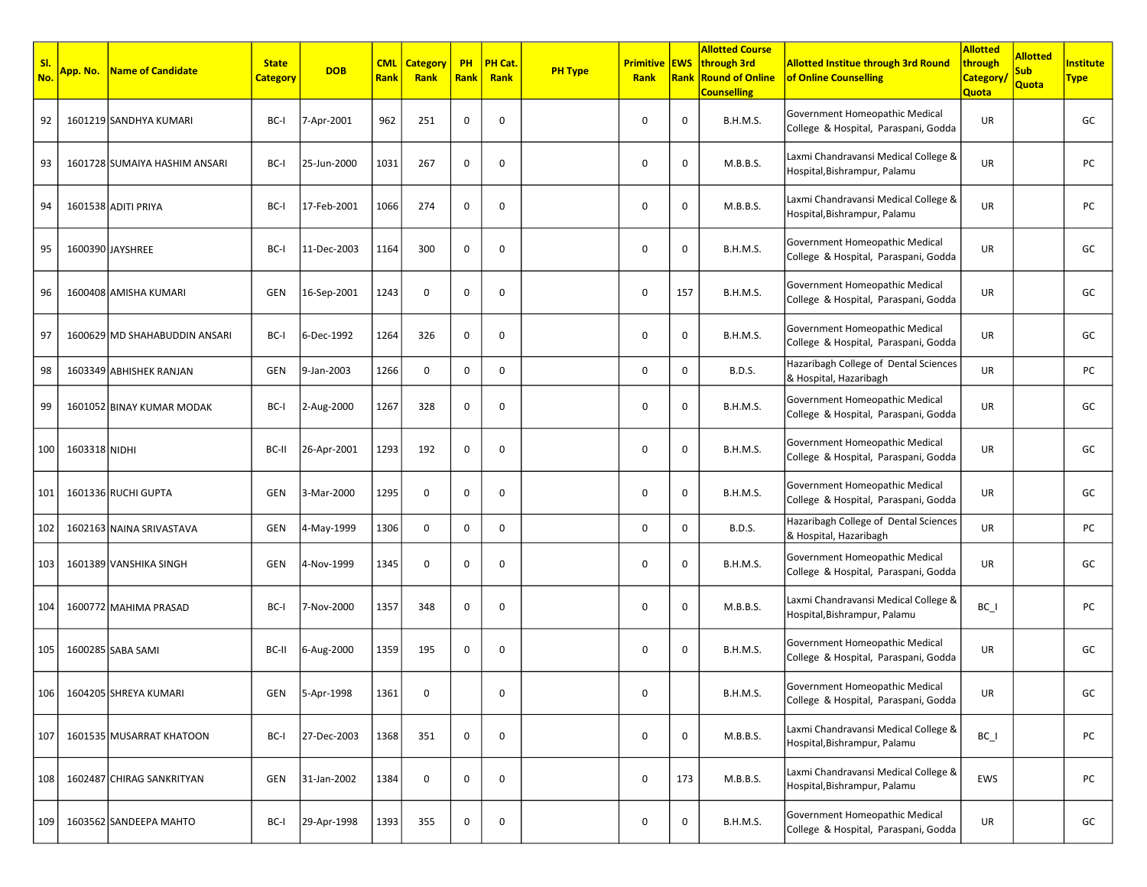| SI.<br>No. | App. No.      | Name of Candidate             | <b>State</b><br><b>Category</b> | <b>DOB</b>  | <b>CML</b><br>Rank | <b>Category</b><br>Rank | <b>PH</b><br><b>Rank</b> | PH Cat.<br>Rank | <b>PH Type</b> | <b>Primitive EWS</b><br>Rank | Rank        | <b>Allotted Course</b><br>through 3rd<br><b>Round of Online</b><br><b>Counselling</b> | <b>Allotted Institue through 3rd Round</b><br>of Online Counselling    | <b>Allotted</b><br>through<br><b>Category</b><br><b>Quota</b> | <b>Allotted</b><br><b>Sub</b><br>Quota | Institute<br><b>Type</b> |
|------------|---------------|-------------------------------|---------------------------------|-------------|--------------------|-------------------------|--------------------------|-----------------|----------------|------------------------------|-------------|---------------------------------------------------------------------------------------|------------------------------------------------------------------------|---------------------------------------------------------------|----------------------------------------|--------------------------|
| 92         |               | 1601219 SANDHYA KUMARI        | BC-I                            | 7-Apr-2001  | 962                | 251                     | 0                        | 0               |                | 0                            | 0           | <b>B.H.M.S.</b>                                                                       | Government Homeopathic Medical<br>College & Hospital, Paraspani, Godda | UR                                                            |                                        | GC                       |
| 93         |               | 1601728 SUMAIYA HASHIM ANSARI | BC-I                            | 25-Jun-2000 | 1031               | 267                     | 0                        | 0               |                | $\mathbf 0$                  | $\mathbf 0$ | M.B.B.S.                                                                              | Laxmi Chandravansi Medical College &<br>Hospital, Bishrampur, Palamu   | UR                                                            |                                        | PC                       |
| 94         |               | 1601538 ADITI PRIYA           | BC-I                            | 17-Feb-2001 | 1066               | 274                     | 0                        | 0               |                | 0                            | 0           | M.B.B.S.                                                                              | Laxmi Chandravansi Medical College &<br>Hospital, Bishrampur, Palamu   | UR                                                            |                                        | PC                       |
| 95         |               | 1600390 JAYSHREE              | BC-I                            | 11-Dec-2003 | 1164               | 300                     | 0                        | 0               |                | $\mathbf 0$                  | 0           | <b>B.H.M.S.</b>                                                                       | Government Homeopathic Medical<br>College & Hospital, Paraspani, Godda | UR                                                            |                                        | GC                       |
| 96         |               | 1600408 AMISHA KUMARI         | GEN                             | 16-Sep-2001 | 1243               | $\mathbf 0$             | 0                        | 0               |                | 0                            | 157         | <b>B.H.M.S.</b>                                                                       | Government Homeopathic Medical<br>College & Hospital, Paraspani, Godda | UR                                                            |                                        | GC                       |
| 97         |               | 1600629 MD SHAHABUDDIN ANSARI | BC-I                            | 6-Dec-1992  | 1264               | 326                     | 0                        | $\mathbf 0$     |                | $\mathbf 0$                  | $\mathbf 0$ | <b>B.H.M.S.</b>                                                                       | Government Homeopathic Medical<br>College & Hospital, Paraspani, Godda | UR                                                            |                                        | GC                       |
| 98         |               | 1603349 ABHISHEK RANJAN       | GEN                             | 9-Jan-2003  | 1266               | 0                       | 0                        | 0               |                | $\mathbf 0$                  | 0           | <b>B.D.S.</b>                                                                         | Hazaribagh College of Dental Sciences<br>& Hospital, Hazaribagh        | UR                                                            |                                        | PC                       |
| 99         |               | 1601052 BINAY KUMAR MODAK     | BC-I                            | 2-Aug-2000  | 1267               | 328                     | 0                        | 0               |                | 0                            | 0           | <b>B.H.M.S.</b>                                                                       | Government Homeopathic Medical<br>College & Hospital, Paraspani, Godda | UR                                                            |                                        | GC                       |
| 100        | 1603318 NIDHI |                               | BC-II                           | 26-Apr-2001 | 1293               | 192                     | 0                        | 0               |                | $\mathbf 0$                  | $\mathbf 0$ | <b>B.H.M.S.</b>                                                                       | Government Homeopathic Medical<br>College & Hospital, Paraspani, Godda | UR                                                            |                                        | GC                       |
| 101        |               | 1601336 RUCHI GUPTA           | GEN                             | 3-Mar-2000  | 1295               | 0                       | 0                        | 0               |                | $\mathbf 0$                  | 0           | <b>B.H.M.S.</b>                                                                       | Government Homeopathic Medical<br>College & Hospital, Paraspani, Godda | UR                                                            |                                        | GC                       |
| 102        |               | 1602163 NAINA SRIVASTAVA      | GEN                             | 4-May-1999  | 1306               | $\mathbf 0$             | $\mathbf 0$              | 0               |                | $\mathbf 0$                  | 0           | <b>B.D.S.</b>                                                                         | Hazaribagh College of Dental Sciences<br>& Hospital, Hazaribagh        | UR                                                            |                                        | PC                       |
| 103        |               | 1601389 VANSHIKA SINGH        | GEN                             | 4-Nov-1999  | 1345               | 0                       | 0                        | 0               |                | $\mathbf 0$                  | 0           | <b>B.H.M.S.</b>                                                                       | Government Homeopathic Medical<br>College & Hospital, Paraspani, Godda | UR                                                            |                                        | GC                       |
| 104        |               | 1600772 MAHIMA PRASAD         | BC-I                            | 7-Nov-2000  | 1357               | 348                     | 0                        | 0               |                | 0                            | 0           | M.B.B.S.                                                                              | Laxmi Chandravansi Medical College &<br>Hospital, Bishrampur, Palamu   | $BC_$                                                         |                                        | PC                       |
| 105        |               | 1600285 SABA SAMI             | BC-II                           | 6-Aug-2000  | 1359               | 195                     | 0                        | 0               |                | $\mathbf 0$                  | $\mathbf 0$ | <b>B.H.M.S.</b>                                                                       | Government Homeopathic Medical<br>College & Hospital, Paraspani, Godda | UR                                                            |                                        | GC                       |
| 106        |               | 1604205 SHREYA KUMARI         | GEN                             | 5-Apr-1998  | 1361               |                         |                          | $\cup$          |                | 0                            |             | B.H.M.S.                                                                              | Government Homeopathic Medical<br>College & Hospital, Paraspani, Godda | UR                                                            |                                        | GC                       |
| 107        |               | 1601535 MUSARRAT KHATOON      | BC-I                            | 27-Dec-2003 | 1368               | 351                     | 0                        | 0               |                | 0                            | 0           | M.B.B.S.                                                                              | Laxmi Chandravansi Medical College &<br>Hospital, Bishrampur, Palamu   | $BC_$                                                         |                                        | PC                       |
| 108        |               | 1602487 CHIRAG SANKRITYAN     | GEN                             | 31-Jan-2002 | 1384               | 0                       | 0                        | 0               |                | 0                            | 173         | M.B.B.S.                                                                              | Laxmi Chandravansi Medical College &<br>Hospital, Bishrampur, Palamu   | EWS                                                           |                                        | PC                       |
| 109        |               | 1603562 SANDEEPA MAHTO        | BC-I                            | 29-Apr-1998 | 1393               | 355                     | 0                        | 0               |                | $\mathbf 0$                  | $\mathbf 0$ | <b>B.H.M.S.</b>                                                                       | Government Homeopathic Medical<br>College & Hospital, Paraspani, Godda | UR                                                            |                                        | GC                       |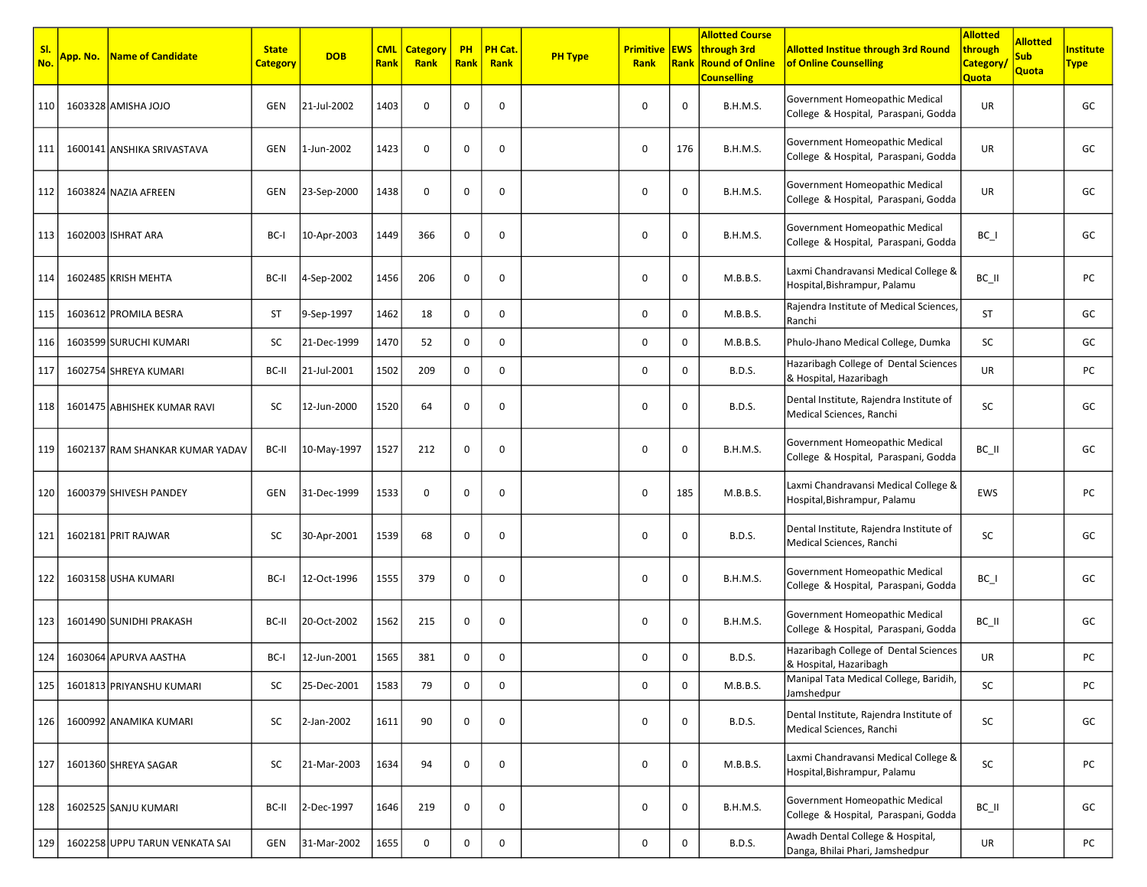| SI.<br>No. | App. No. | Name of Candidate               | <b>State</b><br><b>Category</b> | <b>DOB</b>  | <b>CML</b><br>Rank | <b>Category</b><br>Rank | <b>PH</b><br><b>Rank</b> | PH Cat.<br>Rank | <b>PH Type</b> | <b>Primitive EWS</b><br>Rank | <b>Rank</b> | <b>Allotted Course</b><br>through 3rd<br><b>Round of Online</b><br><b>Counselling</b> | <b>Allotted Institue through 3rd Round</b><br>of Online Counselling    | <b>Allotted</b><br>through<br><b>Category</b><br>Quota | <b>Allotted</b><br><b>Sub</b><br>Quota | <b>nstitute</b><br><b>Type</b> |
|------------|----------|---------------------------------|---------------------------------|-------------|--------------------|-------------------------|--------------------------|-----------------|----------------|------------------------------|-------------|---------------------------------------------------------------------------------------|------------------------------------------------------------------------|--------------------------------------------------------|----------------------------------------|--------------------------------|
| 110        |          | 1603328 AMISHA JOJO             | GEN                             | 21-Jul-2002 | 1403               | 0                       | 0                        | 0               |                | 0                            | $\mathbf 0$ | B.H.M.S.                                                                              | Government Homeopathic Medical<br>College & Hospital, Paraspani, Godda | UR                                                     |                                        | GC                             |
| 111        |          | 1600141 ANSHIKA SRIVASTAVA      | GEN                             | 1-Jun-2002  | 1423               | 0                       | 0                        | 0               |                | 0                            | 176         | <b>B.H.M.S.</b>                                                                       | Government Homeopathic Medical<br>College & Hospital, Paraspani, Godda | UR                                                     |                                        | GC                             |
| 112        |          | 1603824 NAZIA AFREEN            | GEN                             | 23-Sep-2000 | 1438               | $\mathbf 0$             | 0                        | 0               |                | 0                            | $\mathbf 0$ | <b>B.H.M.S.</b>                                                                       | Government Homeopathic Medical<br>College & Hospital, Paraspani, Godda | UR                                                     |                                        | GC                             |
| 113        |          | 1602003 ISHRAT ARA              | BC-I                            | 10-Apr-2003 | 1449               | 366                     | 0                        | 0               |                | 0                            | $\mathbf 0$ | B.H.M.S.                                                                              | Government Homeopathic Medical<br>College & Hospital, Paraspani, Godda | $BC_$                                                  |                                        | GC                             |
| 114        |          | 1602485 KRISH MEHTA             | BC-II                           | 4-Sep-2002  | 1456               | 206                     | 0                        | 0               |                | 0                            | $\mathbf 0$ | M.B.B.S.                                                                              | Laxmi Chandravansi Medical College &<br>Hospital, Bishrampur, Palamu   | BC_II                                                  |                                        | PC                             |
| 115        |          | 1603612 PROMILA BESRA           | ST                              | 9-Sep-1997  | 1462               | 18                      | 0                        | 0               |                | 0                            | $\mathbf 0$ | M.B.B.S.                                                                              | Rajendra Institute of Medical Sciences,<br>Ranchi                      | <b>ST</b>                                              |                                        | GC                             |
| 116        |          | 1603599 SURUCHI KUMARI          | SC                              | 21-Dec-1999 | 1470               | 52                      | 0                        | 0               |                | 0                            | 0           | M.B.B.S.                                                                              | Phulo-Jhano Medical College, Dumka                                     | SC                                                     |                                        | GC                             |
| 117        |          | 1602754 SHREYA KUMARI           | BC-II                           | 21-Jul-2001 | 1502               | 209                     | 0                        | 0               |                | 0                            | $\mathsf 0$ | <b>B.D.S.</b>                                                                         | Hazaribagh College of Dental Sciences<br>& Hospital, Hazaribagh        | UR                                                     |                                        | PC                             |
| 118        |          | 1601475 ABHISHEK KUMAR RAVI     | SC                              | 12-Jun-2000 | 1520               | 64                      | 0                        | 0               |                | 0                            | $\mathbf 0$ | <b>B.D.S.</b>                                                                         | Dental Institute, Rajendra Institute of<br>Medical Sciences, Ranchi    | SC                                                     |                                        | GC                             |
| 119        |          | 1602137 RAM SHANKAR KUMAR YADAV | BC-II                           | 10-May-1997 | 1527               | 212                     | 0                        | 0               |                | 0                            | $\mathbf 0$ | <b>B.H.M.S.</b>                                                                       | Government Homeopathic Medical<br>College & Hospital, Paraspani, Godda | BC_II                                                  |                                        | GC                             |
| 120        |          | 1600379 SHIVESH PANDEY          | <b>GEN</b>                      | 31-Dec-1999 | 1533               | 0                       | 0                        | 0               |                | 0                            | 185         | M.B.B.S.                                                                              | Laxmi Chandravansi Medical College &<br>Hospital, Bishrampur, Palamu   | EWS                                                    |                                        | PC                             |
| 121        |          | 1602181 PRIT RAJWAR             | SC                              | 30-Apr-2001 | 1539               | 68                      | 0                        | 0               |                | 0                            | $\mathbf 0$ | <b>B.D.S.</b>                                                                         | Dental Institute, Rajendra Institute of<br>Medical Sciences, Ranchi    | SC                                                     |                                        | GC                             |
| 122        |          | 1603158 USHA KUMARI             | BC-I                            | 12-Oct-1996 | 1555               | 379                     | 0                        | 0               |                | 0                            | $\mathbf 0$ | <b>B.H.M.S.</b>                                                                       | Government Homeopathic Medical<br>College & Hospital, Paraspani, Godda | $BC_$                                                  |                                        | GC                             |
| 123        |          | 1601490 SUNIDHI PRAKASH         | BC-II                           | 20-Oct-2002 | 1562               | 215                     | 0                        | 0               |                | 0                            | 0           | <b>B.H.M.S.</b>                                                                       | Government Homeopathic Medical<br>College & Hospital, Paraspani, Godda | BC_II                                                  |                                        | GC                             |
| 124        |          | 1603064 APURVA AASTHA           | BC-I                            | 12-Jun-2001 | 1565               | 381                     | 0                        | 0               |                | 0                            | $\mathbf 0$ | <b>B.D.S.</b>                                                                         | Hazaribagh College of Dental Sciences<br>& Hospital, Hazaribagh        | UR                                                     |                                        | PC                             |
| 125        |          | 1601813 PRIYANSHU KUMARI        | SC                              | 25-Dec-2001 | 1583               | 79                      | 0                        | 0               |                | 0                            | $\mathbf 0$ | M.B.B.S.                                                                              | Manipal Tata Medical College, Baridih,<br>Jamshedpur                   | SC                                                     |                                        | PC                             |
| 126        |          | 1600992 ANAMIKA KUMARI          | SC                              | 2-Jan-2002  | 1611               | 90                      | 0                        | 0               |                | 0                            | $\mathbf 0$ | <b>B.D.S.</b>                                                                         | Dental Institute, Rajendra Institute of<br>Medical Sciences, Ranchi    | SC                                                     |                                        | GC                             |
| 127        |          | 1601360 SHREYA SAGAR            | SC                              | 21-Mar-2003 | 1634               | 94                      | 0                        | 0               |                | 0                            | $\mathbf 0$ | M.B.B.S.                                                                              | Laxmi Chandravansi Medical College &<br>Hospital, Bishrampur, Palamu   | SC                                                     |                                        | PC                             |
| 128        |          | 1602525 SANJU KUMARI            | BC-II                           | 2-Dec-1997  | 1646               | 219                     | 0                        | 0               |                | 0                            | $\mathsf 0$ | <b>B.H.M.S.</b>                                                                       | Government Homeopathic Medical<br>College & Hospital, Paraspani, Godda | BC_II                                                  |                                        | GC                             |
| 129        |          | 1602258 UPPU TARUN VENKATA SAI  | GEN                             | 31-Mar-2002 | 1655               | $\mathbf 0$             | 0                        | 0               |                | $\mathsf 0$                  | $\mathbf 0$ | <b>B.D.S.</b>                                                                         | Awadh Dental College & Hospital,<br>Danga, Bhilai Phari, Jamshedpur    | UR                                                     |                                        | PC                             |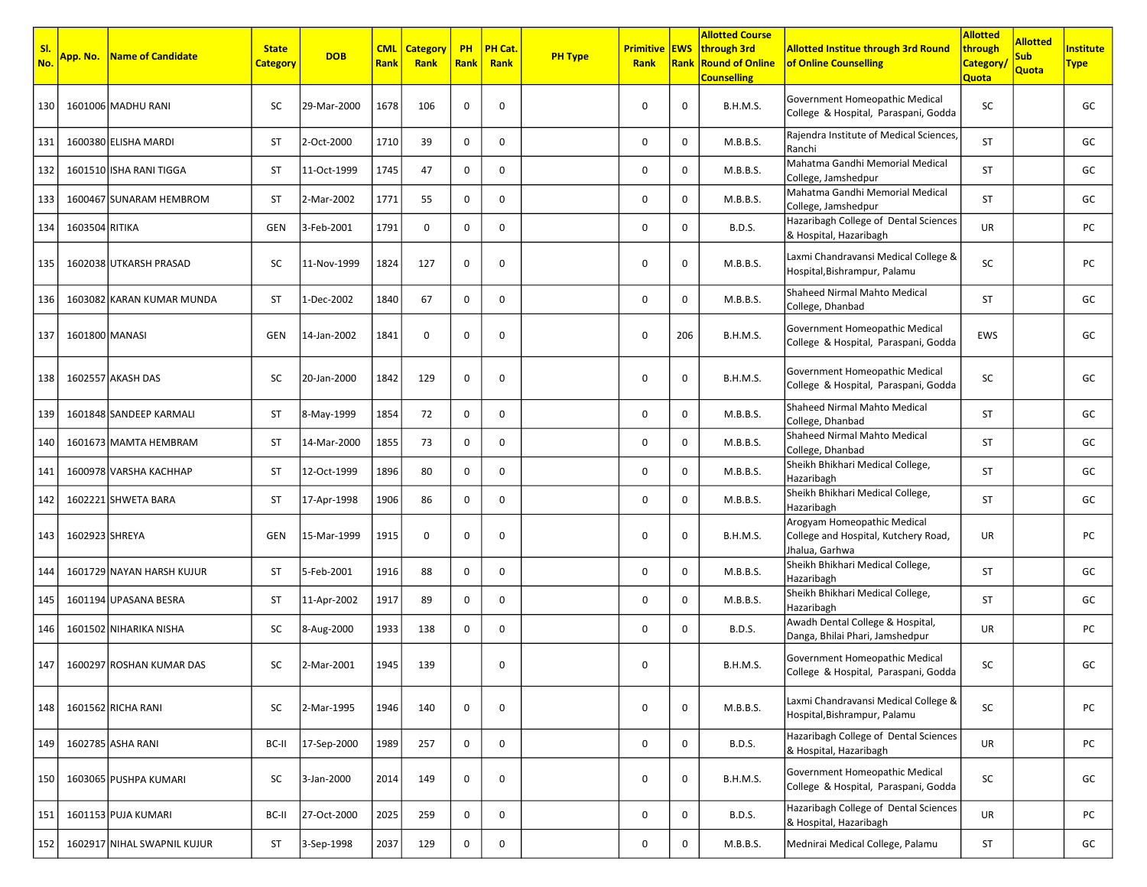| SI.<br>No. | <mark>App. No.</mark> | <b>Name of Candidate</b>    | <b>State</b><br><b>Category</b> | <b>DOB</b>  | <b>CML</b><br><b>Rank</b> | <b>Category</b><br>Rank | <b>PH</b><br><b>Rank</b> | PH Cat.<br>Rank | <b>PH Type</b> | <b>Primitive EWS</b><br>Rank | Rank        | <b>Allotted Course</b><br>through 3rd<br><b>Round of Online</b><br><b>Counselling</b> | <b>Allotted Institue through 3rd Round</b><br>of Online Counselling                   | <b>Allotted</b><br>through<br><b>Category</b><br><b>Quota</b> | <b>Allotted</b><br><b>Sub</b><br><b>Quota</b> | <b>nstitute</b><br><b>Type</b> |
|------------|-----------------------|-----------------------------|---------------------------------|-------------|---------------------------|-------------------------|--------------------------|-----------------|----------------|------------------------------|-------------|---------------------------------------------------------------------------------------|---------------------------------------------------------------------------------------|---------------------------------------------------------------|-----------------------------------------------|--------------------------------|
| 130        |                       | 1601006 MADHU RANI          | SC                              | 29-Mar-2000 | 1678                      | 106                     | 0                        | 0               |                | 0                            | $\mathbf 0$ | <b>B.H.M.S.</b>                                                                       | Government Homeopathic Medical<br>College & Hospital, Paraspani, Godda                | SC                                                            |                                               | GC                             |
| 131        |                       | 1600380 ELISHA MARDI        | ST                              | 2-Oct-2000  | 1710                      | 39                      | 0                        | 0               |                | $\mathbf 0$                  | 0           | M.B.B.S.                                                                              | Rajendra Institute of Medical Sciences,<br>Ranchi                                     | <b>ST</b>                                                     |                                               | GC                             |
| 132        |                       | 1601510 ISHA RANI TIGGA     | ST                              | 11-Oct-1999 | 1745                      | 47                      | 0                        | 0               |                | 0                            | $\mathbf 0$ | M.B.B.S.                                                                              | Mahatma Gandhi Memorial Medical<br>College, Jamshedpur                                | ST                                                            |                                               | GC                             |
| 133        |                       | 1600467 SUNARAM HEMBROM     | ST                              | 2-Mar-2002  | 1771                      | 55                      | 0                        | 0               |                | 0                            | $\mathbf 0$ | M.B.B.S.                                                                              | Mahatma Gandhi Memorial Medical<br>College, Jamshedpur                                | ST                                                            |                                               | GC                             |
| 134        | 1603504 RITIKA        |                             | GEN                             | 3-Feb-2001  | 1791                      | $\mathbf 0$             | 0                        | $\mathbf 0$     |                | $\mathbf 0$                  | $\mathbf 0$ | <b>B.D.S.</b>                                                                         | Hazaribagh College of Dental Sciences<br>& Hospital, Hazaribagh                       | UR                                                            |                                               | PC                             |
| 135        |                       | 1602038 UTKARSH PRASAD      | SC                              | 11-Nov-1999 | 1824                      | 127                     | 0                        | 0               |                | 0                            | 0           | M.B.B.S.                                                                              | Laxmi Chandravansi Medical College &<br>Hospital, Bishrampur, Palamu                  | SC                                                            |                                               | PC                             |
| 136        |                       | 1603082 KARAN KUMAR MUNDA   | <b>ST</b>                       | 1-Dec-2002  | 1840                      | 67                      | 0                        | 0               |                | $\mathbf 0$                  | $\mathbf 0$ | M.B.B.S.                                                                              | Shaheed Nirmal Mahto Medical<br>College, Dhanbad                                      | <b>ST</b>                                                     |                                               | GC                             |
| 137        | 1601800 MANASI        |                             | <b>GEN</b>                      | 14-Jan-2002 | 1841                      | $\mathbf 0$             | 0                        | 0               |                | 0                            | 206         | <b>B.H.M.S.</b>                                                                       | Government Homeopathic Medical<br>College & Hospital, Paraspani, Godda                | EWS                                                           |                                               | GC                             |
| 138        |                       | 1602557 AKASH DAS           | SC                              | 20-Jan-2000 | 1842                      | 129                     | 0                        | 0               |                | 0                            | 0           | <b>B.H.M.S.</b>                                                                       | Government Homeopathic Medical<br>College & Hospital, Paraspani, Godda                | SC                                                            |                                               | GC                             |
| 139        |                       | 1601848 SANDEEP KARMALI     | ST                              | 8-May-1999  | 1854                      | 72                      | 0                        | 0               |                | 0                            | 0           | M.B.B.S.                                                                              | Shaheed Nirmal Mahto Medical<br>College, Dhanbad                                      | ST                                                            |                                               | GC                             |
| 140        |                       | 1601673 MAMTA HEMBRAM       | ST                              | 14-Mar-2000 | 1855                      | 73                      | 0                        | 0               |                | $\mathbf 0$                  | $\mathbf 0$ | M.B.B.S.                                                                              | Shaheed Nirmal Mahto Medical<br>College, Dhanbad                                      | ST                                                            |                                               | GC                             |
| 141        |                       | 1600978 VARSHA KACHHAP      | <b>ST</b>                       | 12-Oct-1999 | 1896                      | 80                      | 0                        | 0               |                | $\mathbf 0$                  | $\mathbf 0$ | M.B.B.S.                                                                              | Sheikh Bhikhari Medical College,<br>Hazaribagh                                        | <b>ST</b>                                                     |                                               | GC                             |
| 142        |                       | 1602221 SHWETA BARA         | ST                              | 17-Apr-1998 | 1906                      | 86                      | 0                        | 0               |                | 0                            | $\mathbf 0$ | M.B.B.S.                                                                              | Sheikh Bhikhari Medical College,<br>Hazaribagh                                        | <b>ST</b>                                                     |                                               | GC                             |
| 143        | 1602923 SHREYA        |                             | GEN                             | 15-Mar-1999 | 1915                      | 0                       | 0                        | 0               |                | 0                            | 0           | <b>B.H.M.S.</b>                                                                       | Arogyam Homeopathic Medical<br>College and Hospital, Kutchery Road,<br>Jhalua, Garhwa | UR                                                            |                                               | PC                             |
| 144        |                       | 1601729 NAYAN HARSH KUJUR   | ST                              | 5-Feb-2001  | 1916                      | 88                      | 0                        | 0               |                | $\mathbf 0$                  | 0           | M.B.B.S.                                                                              | Sheikh Bhikhari Medical College,<br>Hazaribagh                                        | ST                                                            |                                               | GC                             |
| 145        |                       | 1601194 UPASANA BESRA       | ST                              | 11-Apr-2002 | 1917                      | 89                      | 0                        | 0               |                | 0                            | 0           | M.B.B.S.                                                                              | Sheikh Bhikhari Medical College,<br>Hazaribagh                                        | <b>ST</b>                                                     |                                               | GC                             |
| 146        |                       | 1601502 NIHARIKA NISHA      | SC                              | 8-Aug-2000  | 1933                      | 138                     | 0                        | 0               |                | 0                            | 0           | <b>B.D.S.</b>                                                                         | Awadh Dental College & Hospital,<br>Danga, Bhilai Phari, Jamshedpur                   | UR                                                            |                                               | PC                             |
| 147        |                       | 1600297 ROSHAN KUMAR DAS    | SC                              | 2-Mar-2001  | 1945                      | 139                     |                          | 0               |                | 0                            |             | <b>B.H.M.S.</b>                                                                       | Government Homeopathic Medical<br>College & Hospital, Paraspani, Godda                | SC                                                            |                                               | GC                             |
| 148        |                       | 1601562 RICHA RANI          | SC                              | 2-Mar-1995  | 1946                      | 140                     | 0                        | 0               |                | $\mathbf 0$                  | 0           | M.B.B.S.                                                                              | Laxmi Chandravansi Medical College &<br>Hospital, Bishrampur, Palamu                  | SC                                                            |                                               | PC                             |
| 149        |                       | 1602785 ASHA RANI           | BC-II                           | 17-Sep-2000 | 1989                      | 257                     | 0                        | 0               |                | 0                            | $\mathbf 0$ | <b>B.D.S.</b>                                                                         | Hazaribagh College of Dental Sciences<br>& Hospital, Hazaribagh                       | UR                                                            |                                               | PC                             |
| 150        |                       | 1603065 PUSHPA KUMARI       | SC                              | 3-Jan-2000  | 2014                      | 149                     | 0                        | 0               |                | $\mathbf 0$                  | $\mathbf 0$ | <b>B.H.M.S.</b>                                                                       | Government Homeopathic Medical<br>College & Hospital, Paraspani, Godda                | SC                                                            |                                               | GC                             |
| 151        |                       | 1601153 PUJA KUMARI         | BC-II                           | 27-Oct-2000 | 2025                      | 259                     | 0                        | 0               |                | 0                            | $\mathbf 0$ | <b>B.D.S.</b>                                                                         | Hazaribagh College of Dental Sciences<br>& Hospital, Hazaribagh                       | UR                                                            |                                               | PC                             |
| 152        |                       | 1602917 NIHAL SWAPNIL KUJUR | ST                              | 3-Sep-1998  | 2037                      | 129                     | 0                        | $\mathbf 0$     |                | $\mathbf 0$                  | $\mathbf 0$ | M.B.B.S.                                                                              | Mednirai Medical College, Palamu                                                      | ST                                                            |                                               | GC                             |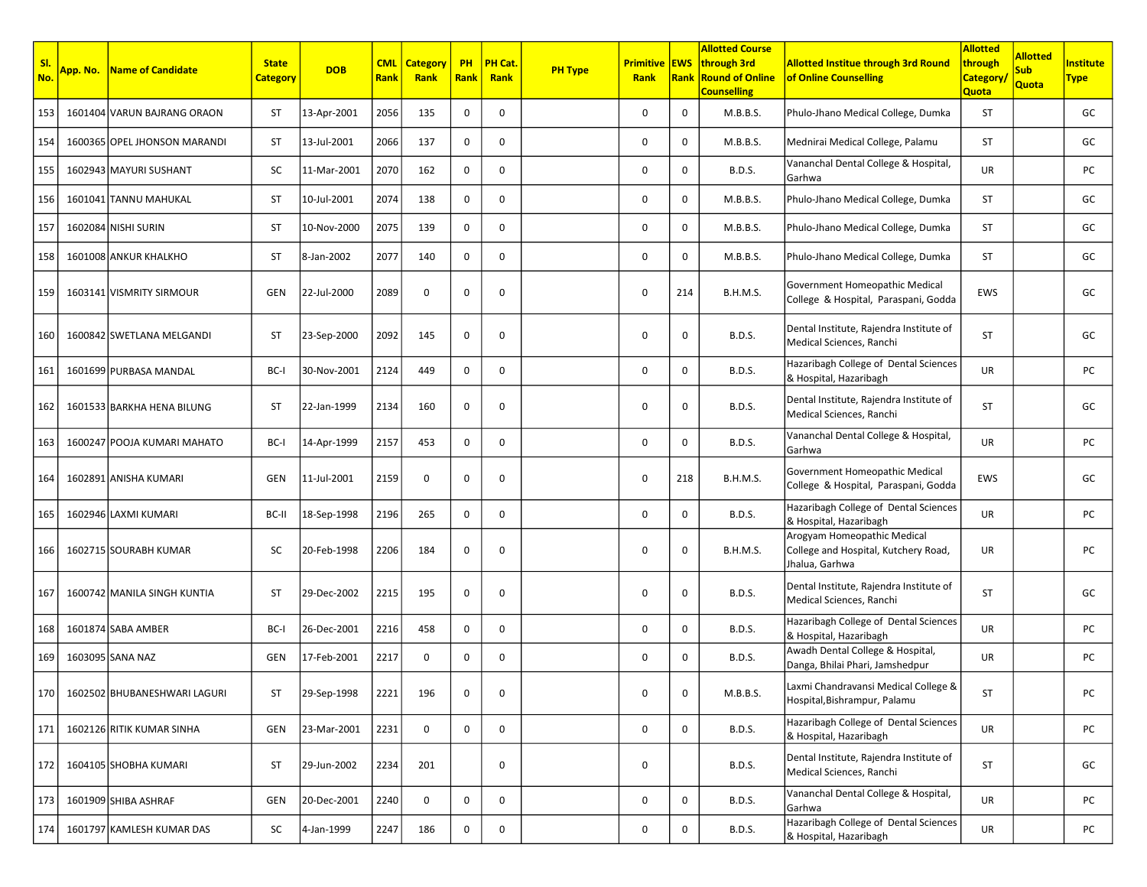| SI.<br>No. | App. No. | Name of Candidate                  | <b>State</b><br><b>Category</b> | <b>DOB</b>  | <b>CML</b><br>Rank | <b>Category</b><br>Rank | <b>PH</b><br><b>Rank</b> | PH Cat.<br>Rank | <b>PH Type</b> | <b>Primitive EWS</b><br>Rank |              | <b>Allotted Course</b><br>through 3rd<br><b>Rank Round of Online</b><br><b>Counselling</b> | <b>Allotted Institue through 3rd Round</b><br>of Online Counselling                   | <b>Allotted</b><br>through<br><b>Category</b><br>Quota | <b>Allotted</b><br><b>Sub</b><br>Quota | <b>Institute</b><br><b>Type</b> |
|------------|----------|------------------------------------|---------------------------------|-------------|--------------------|-------------------------|--------------------------|-----------------|----------------|------------------------------|--------------|--------------------------------------------------------------------------------------------|---------------------------------------------------------------------------------------|--------------------------------------------------------|----------------------------------------|---------------------------------|
| 153        |          | 1601404 VARUN BAJRANG ORAON        | <b>ST</b>                       | 13-Apr-2001 | 2056               | 135                     | 0                        | 0               |                | 0                            | 0            | M.B.B.S.                                                                                   | Phulo-Jhano Medical College, Dumka                                                    | <b>ST</b>                                              |                                        | GC                              |
| 154        |          | 1600365 OPEL JHONSON MARANDI       | ST                              | 13-Jul-2001 | 2066               | 137                     | 0                        | 0               |                | 0                            | $\mathbf 0$  | M.B.B.S.                                                                                   | Mednirai Medical College, Palamu                                                      | ST                                                     |                                        | GC                              |
| 155        |          | 1602943 MAYURI SUSHANT             | SC                              | 11-Mar-2001 | 2070               | 162                     | 0                        | 0               |                | 0                            | 0            | <b>B.D.S.</b>                                                                              | Vananchal Dental College & Hospital,<br>Garhwa                                        | UR                                                     |                                        | PC                              |
| 156        |          | 1601041 TANNU MAHUKAL              | ST                              | 10-Jul-2001 | 2074               | 138                     | 0                        | 0               |                | 0                            | 0            | M.B.B.S.                                                                                   | Phulo-Jhano Medical College, Dumka                                                    | ST                                                     |                                        | GC                              |
| 157        |          | 1602084 NISHI SURIN                | <b>ST</b>                       | 10-Nov-2000 | 2075               | 139                     | 0                        | 0               |                | 0                            | $\mathbf 0$  | M.B.B.S.                                                                                   | Phulo-Jhano Medical College, Dumka                                                    | ST                                                     |                                        | GC                              |
| 158        |          | 1601008 ANKUR KHALKHO              | <b>ST</b>                       | 8-Jan-2002  | 2077               | 140                     | $\mathbf 0$              | 0               |                | 0                            | $\mathbf 0$  | M.B.B.S.                                                                                   | Phulo-Jhano Medical College, Dumka                                                    | <b>ST</b>                                              |                                        | GC                              |
| 159        |          | 1603141 VISMRITY SIRMOUR           | GEN                             | 22-Jul-2000 | 2089               | 0                       | 0                        | 0               |                | 0                            | 214          | <b>B.H.M.S.</b>                                                                            | Government Homeopathic Medical<br>College & Hospital, Paraspani, Godda                | <b>EWS</b>                                             |                                        | GC                              |
| 160        |          | 1600842 SWETLANA MELGANDI          | <b>ST</b>                       | 23-Sep-2000 | 2092               | 145                     | 0                        | 0               |                | 0                            | $\mathbf 0$  | <b>B.D.S.</b>                                                                              | Dental Institute, Rajendra Institute of<br>Medical Sciences, Ranchi                   | ST                                                     |                                        | GC                              |
| 161        |          | 1601699 PURBASA MANDAL             | BC-I                            | 30-Nov-2001 | 2124               | 449                     | 0                        | 0               |                | 0                            | 0            | <b>B.D.S.</b>                                                                              | Hazaribagh College of Dental Sciences<br>& Hospital, Hazaribagh                       | <b>UR</b>                                              |                                        | PC                              |
| 162        |          | 1601533 BARKHA HENA BILUNG         | <b>ST</b>                       | 22-Jan-1999 | 2134               | 160                     | 0                        | 0               |                | 0                            | 0            | <b>B.D.S.</b>                                                                              | Dental Institute, Rajendra Institute of<br>Medical Sciences, Ranchi                   | ST                                                     |                                        | GC                              |
| 163        |          | 1600247 POOJA KUMARI MAHATO        | BC-I                            | 14-Apr-1999 | 2157               | 453                     | 0                        | 0               |                | 0                            | $\mathbf 0$  | <b>B.D.S.</b>                                                                              | Vananchal Dental College & Hospital,<br>Garhwa                                        | <b>UR</b>                                              |                                        | PC                              |
| 164        |          | 1602891 ANISHA KUMARI              | GEN                             | 11-Jul-2001 | 2159               | 0                       | 0                        | 0               |                | 0                            | 218          | B.H.M.S.                                                                                   | Government Homeopathic Medical<br>College & Hospital, Paraspani, Godda                | <b>EWS</b>                                             |                                        | GC                              |
| 165        |          | 1602946 LAXMI KUMARI               | BC-II                           | 18-Sep-1998 | 2196               | 265                     | 0                        | 0               |                | 0                            | 0            | <b>B.D.S.</b>                                                                              | Hazaribagh College of Dental Sciences<br>& Hospital, Hazaribagh                       | <b>UR</b>                                              |                                        | PC                              |
| 166        |          | 1602715 SOURABH KUMAR              | SC                              | 20-Feb-1998 | 2206               | 184                     | 0                        | 0               |                | 0                            | $\mathbf 0$  | <b>B.H.M.S.</b>                                                                            | Arogyam Homeopathic Medical<br>College and Hospital, Kutchery Road,<br>Jhalua, Garhwa | <b>UR</b>                                              |                                        | PC                              |
| 167        |          | 1600742 MANILA SINGH KUNTIA        | ST                              | 29-Dec-2002 | 2215               | 195                     | 0                        | 0               |                | 0                            | $\mathbf 0$  | <b>B.D.S.</b>                                                                              | Dental Institute, Rajendra Institute of<br>Medical Sciences, Ranchi                   | ST                                                     |                                        | GC                              |
| 168        |          | 1601874 SABA AMBER                 | BC-I                            | 26-Dec-2001 | 2216               | 458                     | $\mathbf 0$              | 0               |                | 0                            | $\mathbf{0}$ | <b>B.D.S.</b>                                                                              | Hazaribagh College of Dental Sciences<br>& Hospital, Hazaribagh                       | UR                                                     |                                        | PC                              |
| 169        |          | 1603095 SANA NAZ                   | GEN                             | 17-Feb-2001 | 2217               | 0                       | 0                        | 0               |                | 0                            | 0            | <b>B.D.S.</b>                                                                              | Awadh Dental College & Hospital,<br>Danga, Bhilai Phari, Jamshedpur                   | <b>UR</b>                                              |                                        | PC                              |
|            |          | 170   1602502 BHUBANESHWARI LAGURI | <b>ST</b>                       | 29-Sep-1998 | 2221               | 196                     | 0                        | 0               |                | 0                            | 0            | M.B.B.S.                                                                                   | Laxmi Chandravansi Medical College &<br>Hospital, Bishrampur, Palamu                  | ST                                                     |                                        | PC                              |
| 171        |          | 1602126 RITIK KUMAR SINHA          | GEN                             | 23-Mar-2001 | 2231               | 0                       | 0                        | 0               |                | 0                            | 0            | <b>B.D.S.</b>                                                                              | Hazaribagh College of Dental Sciences<br>& Hospital, Hazaribagh                       | UR                                                     |                                        | PC                              |
| 172        |          | 1604105 SHOBHA KUMARI              | ST                              | 29-Jun-2002 | 2234               | 201                     |                          | 0               |                | 0                            |              | <b>B.D.S.</b>                                                                              | Dental Institute, Rajendra Institute of<br>Medical Sciences, Ranchi                   | ST                                                     |                                        | GC                              |
| 173        |          | 1601909 SHIBA ASHRAF               | GEN                             | 20-Dec-2001 | 2240               | 0                       | 0                        | 0               |                | 0                            | 0            | <b>B.D.S.</b>                                                                              | Vananchal Dental College & Hospital,<br>Garhwa                                        | UR                                                     |                                        | PC                              |
| 174        |          | 1601797 KAMLESH KUMAR DAS          | SC                              | 4-Jan-1999  | 2247               | 186                     | 0                        | 0               |                | 0                            | 0            | <b>B.D.S.</b>                                                                              | Hazaribagh College of Dental Sciences<br>& Hospital, Hazaribagh                       | UR                                                     |                                        | PC                              |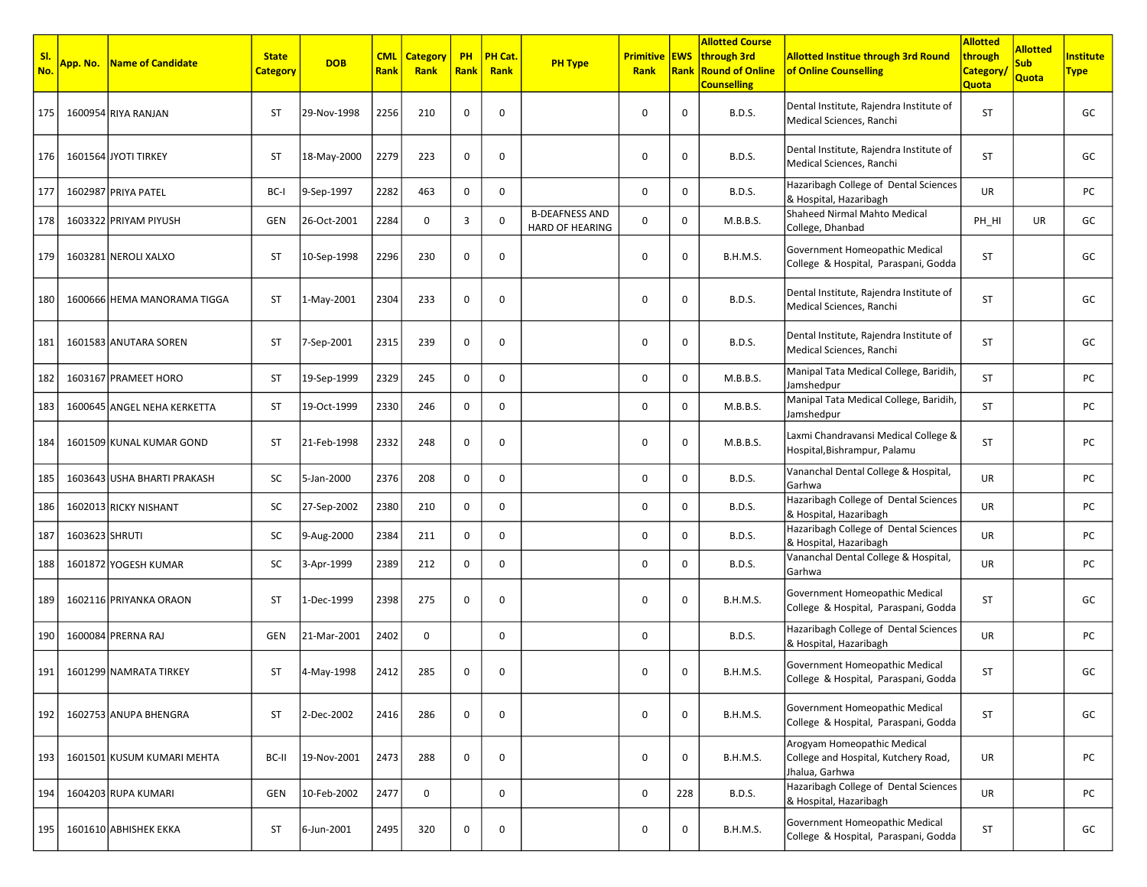| -SI.<br>No. |                | <b>App. No.   Name of Candidate</b> | <b>State</b><br><b>Category</b> | <b>DOB</b>  | <b>CML</b><br>Rank | <b>Category</b><br>Rank | <b>PH</b><br><b>Rank</b> | PH Cat.<br>Rank | <b>PH Type</b>                                  | <b>Primitive EWS</b><br>Rank | Rank        | <b>Allotted Course</b><br>through 3rd<br><b>Round of Online</b><br><b>Counselling</b> | <b>Allotted Institue through 3rd Round</b><br>of Online Counselling                   | <b>Allotted</b><br>through<br><b>Category</b><br><b>Quota</b> | <b>Allotted</b><br><b>Sub</b><br>Quota | <b>nstitute</b><br><b>Type</b> |
|-------------|----------------|-------------------------------------|---------------------------------|-------------|--------------------|-------------------------|--------------------------|-----------------|-------------------------------------------------|------------------------------|-------------|---------------------------------------------------------------------------------------|---------------------------------------------------------------------------------------|---------------------------------------------------------------|----------------------------------------|--------------------------------|
| 175         |                | 1600954 RIYA RANJAN                 | ST                              | 29-Nov-1998 | 2256               | 210                     | 0                        | 0               |                                                 | $\mathbf 0$                  | 0           | <b>B.D.S.</b>                                                                         | Dental Institute, Rajendra Institute of<br>Medical Sciences, Ranchi                   | <b>ST</b>                                                     |                                        | GC                             |
| 176         |                | 1601564 JYOTI TIRKEY                | ST                              | 18-May-2000 | 2279               | 223                     | 0                        | 0               |                                                 | 0                            | 0           | <b>B.D.S.</b>                                                                         | Dental Institute, Rajendra Institute of<br>Medical Sciences, Ranchi                   | <b>ST</b>                                                     |                                        | GC                             |
| 177         |                | 1602987 PRIYA PATEL                 | BC-I                            | 9-Sep-1997  | 2282               | 463                     | 0                        | 0               |                                                 | 0                            | 0           | <b>B.D.S.</b>                                                                         | Hazaribagh College of Dental Sciences<br>& Hospital, Hazaribagh                       | <b>UR</b>                                                     |                                        | PC                             |
| 178         |                | 1603322 PRIYAM PIYUSH               | GEN                             | 26-Oct-2001 | 2284               | $\mathbf 0$             | 3                        | 0               | <b>B-DEAFNESS AND</b><br><b>HARD OF HEARING</b> | $\mathbf 0$                  | 0           | M.B.B.S.                                                                              | Shaheed Nirmal Mahto Medical<br>College, Dhanbad                                      | PH HI                                                         | <b>UR</b>                              | GC                             |
| 179         |                | 1603281 NEROLI XALXO                | ST                              | 10-Sep-1998 | 2296               | 230                     | 0                        | $\mathbf 0$     |                                                 | $\mathbf 0$                  | 0           | <b>B.H.M.S.</b>                                                                       | Government Homeopathic Medical<br>College & Hospital, Paraspani, Godda                | <b>ST</b>                                                     |                                        | GC                             |
| 180         |                | 1600666 HEMA MANORAMA TIGGA         | ST                              | 1-May-2001  | 2304               | 233                     | 0                        | 0               |                                                 | 0                            | 0           | <b>B.D.S.</b>                                                                         | Dental Institute, Rajendra Institute of<br>Medical Sciences, Ranchi                   | <b>ST</b>                                                     |                                        | GC                             |
| 181         |                | 1601583 ANUTARA SOREN               | ST                              | 7-Sep-2001  | 2315               | 239                     | 0                        | 0               |                                                 | 0                            | 0           | <b>B.D.S.</b>                                                                         | Dental Institute, Rajendra Institute of<br>Medical Sciences, Ranchi                   | <b>ST</b>                                                     |                                        | GC                             |
| 182         |                | 1603167 PRAMEET HORO                | ST                              | 19-Sep-1999 | 2329               | 245                     | 0                        | $\mathbf 0$     |                                                 | $\mathbf 0$                  | $\mathbf 0$ | M.B.B.S.                                                                              | Manipal Tata Medical College, Baridih,<br>Jamshedpur                                  | ST                                                            |                                        | PC                             |
| 183         |                | 1600645 ANGEL NEHA KERKETTA         | ST                              | 19-Oct-1999 | 2330               | 246                     | 0                        | 0               |                                                 | 0                            | 0           | M.B.B.S.                                                                              | Manipal Tata Medical College, Baridih,<br>Jamshedpur                                  | ST                                                            |                                        | PC                             |
| 184         |                | 1601509 KUNAL KUMAR GOND            | ST                              | 21-Feb-1998 | 2332               | 248                     | 0                        | 0               |                                                 | 0                            | 0           | M.B.B.S.                                                                              | Laxmi Chandravansi Medical College &<br>Hospital, Bishrampur, Palamu                  | <b>ST</b>                                                     |                                        | PC                             |
| 185         |                | 1603643 USHA BHARTI PRAKASH         | SC                              | 5-Jan-2000  | 2376               | 208                     | 0                        | 0               |                                                 | 0                            | 0           | <b>B.D.S.</b>                                                                         | Vananchal Dental College & Hospital,<br>Garhwa                                        | UR                                                            |                                        | PC                             |
| 186         |                | 1602013 RICKY NISHANT               | SC                              | 27-Sep-2002 | 2380               | 210                     | 0                        | 0               |                                                 | 0                            | 0           | <b>B.D.S.</b>                                                                         | Hazaribagh College of Dental Sciences<br>& Hospital, Hazaribagh                       | UR                                                            |                                        | PC                             |
| 187         | 1603623 SHRUTI |                                     | SC                              | 9-Aug-2000  | 2384               | 211                     | 0                        | 0               |                                                 | 0                            | 0           | <b>B.D.S.</b>                                                                         | Hazaribagh College of Dental Sciences<br>& Hospital, Hazaribagh                       | UR                                                            |                                        | PC                             |
| 188         |                | 1601872 YOGESH KUMAR                | SC                              | 3-Apr-1999  | 2389               | 212                     | 0                        | 0               |                                                 | 0                            | 0           | <b>B.D.S.</b>                                                                         | Vananchal Dental College & Hospital,<br>Garhwa                                        | UR                                                            |                                        | PC                             |
| 189         |                | 1602116 PRIYANKA ORAON              | ST                              | 1-Dec-1999  | 2398               | 275                     | 0                        | 0               |                                                 | 0                            | 0           | <b>B.H.M.S.</b>                                                                       | Government Homeopathic Medical<br>College & Hospital, Paraspani, Godda                | ST                                                            |                                        | GC                             |
| 190         |                | 1600084 PRERNA RAJ                  | GEN                             | 21-Mar-2001 | 2402               | 0                       |                          | 0               |                                                 | 0                            |             | <b>B.D.S.</b>                                                                         | Hazaribagh College of Dental Sciences<br>& Hospital, Hazaribagh                       | UR                                                            |                                        | PC                             |
| 191         |                | 1601299 NAMRATA TIRKEY              | ST                              | 4-May-1998  | 2412               | 285                     | 0                        | 0               |                                                 | 0                            | 0           | <b>B.H.M.S.</b>                                                                       | Government Homeopathic Medical<br>College & Hospital, Paraspani, Godda                | ST                                                            |                                        | GC                             |
| 192         |                | 1602753 ANUPA BHENGRA               | <b>ST</b>                       | 2-Dec-2002  | 2416               | 286                     | 0                        | 0               |                                                 | $\mathbf 0$                  | $\mathbf 0$ | <b>B.H.M.S.</b>                                                                       | Government Homeopathic Medical<br>College & Hospital, Paraspani, Godda                | ST                                                            |                                        | GC                             |
| 193         |                | 1601501 KUSUM KUMARI MEHTA          | BC-II                           | 19-Nov-2001 | 2473               | 288                     | 0                        | 0               |                                                 | 0                            | 0           | <b>B.H.M.S.</b>                                                                       | Arogyam Homeopathic Medical<br>College and Hospital, Kutchery Road,<br>Jhalua, Garhwa | UR                                                            |                                        | PC                             |
| 194         |                | 1604203 RUPA KUMARI                 | GEN                             | 10-Feb-2002 | 2477               | 0                       |                          | 0               |                                                 | 0                            | 228         | <b>B.D.S.</b>                                                                         | Hazaribagh College of Dental Sciences<br>& Hospital, Hazaribagh                       | UR                                                            |                                        | PC                             |
| 195         |                | 1601610 ABHISHEK EKKA               | ST                              | 6-Jun-2001  | 2495               | 320                     | 0                        | 0               |                                                 | 0                            | 0           | <b>B.H.M.S.</b>                                                                       | Government Homeopathic Medical<br>College & Hospital, Paraspani, Godda                | ST                                                            |                                        | GC                             |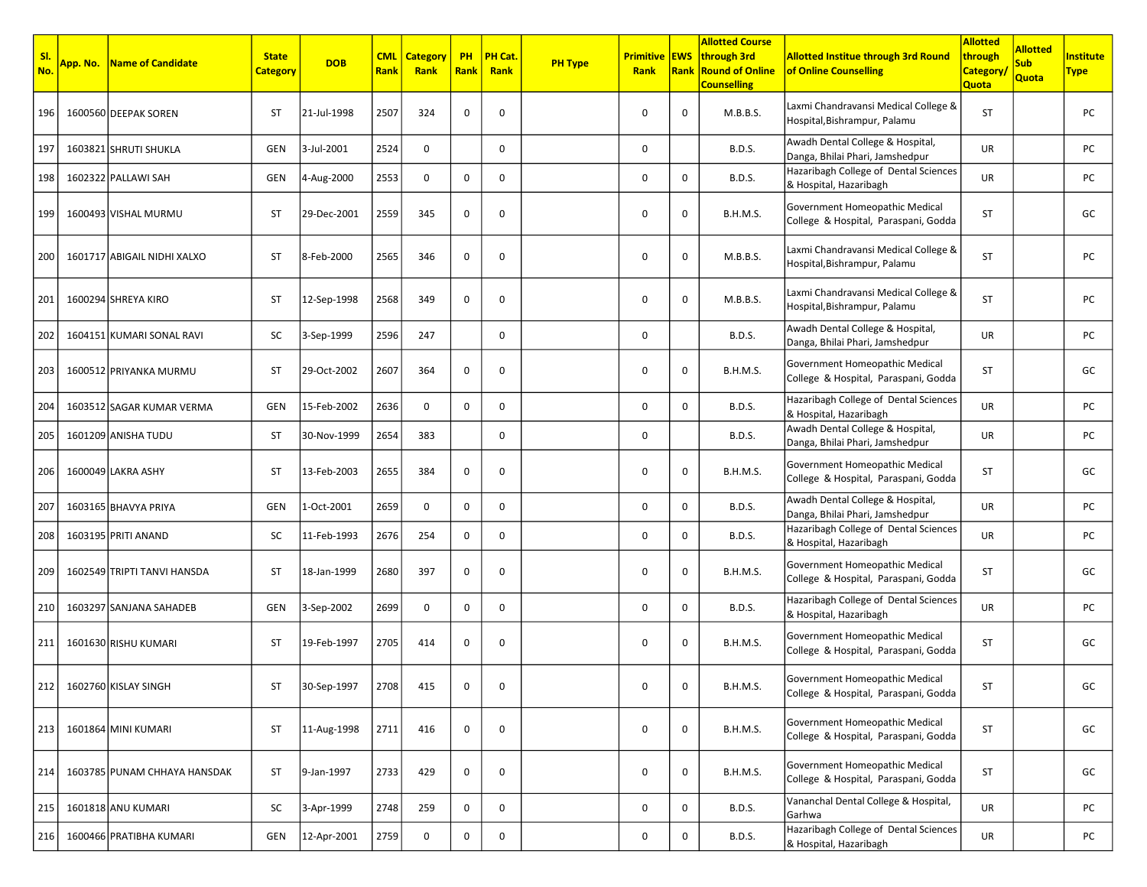| SI.<br>No. | App. No. | <b>Name of Candidate</b>     | <b>State</b><br><b>Category</b> | <b>DOB</b>  | <b>CML</b><br>Rank | <b>Category</b><br>Rank | <b>PH</b><br><b>Rank</b> | PH Cat.<br>Rank | <b>PH Type</b> | <b>Primitive EWS</b><br>Rank | Rank         | <b>Allotted Course</b><br>through 3rd<br><b>Round of Online</b><br><b>Counselling</b> | <b>Allotted Institue through 3rd Round</b><br>of Online Counselling    | <b>Allotted</b><br>through<br><b>Category</b><br><b>Quota</b> | <b>Allotted</b><br><b>Sub</b><br>Quota | Institute<br>Type |
|------------|----------|------------------------------|---------------------------------|-------------|--------------------|-------------------------|--------------------------|-----------------|----------------|------------------------------|--------------|---------------------------------------------------------------------------------------|------------------------------------------------------------------------|---------------------------------------------------------------|----------------------------------------|-------------------|
| 196        |          | 1600560 DEEPAK SOREN         | <b>ST</b>                       | 21-Jul-1998 | 2507               | 324                     | 0                        | 0               |                | $\mathbf 0$                  | $\mathbf 0$  | M.B.B.S.                                                                              | Laxmi Chandravansi Medical College &<br>Hospital, Bishrampur, Palamu   | ST                                                            |                                        | PC                |
| 197        |          | 1603821 SHRUTI SHUKLA        | <b>GEN</b>                      | 3-Jul-2001  | 2524               | $\mathbf 0$             |                          | $\mathbf 0$     |                | $\mathbf 0$                  |              | <b>B.D.S.</b>                                                                         | Awadh Dental College & Hospital,<br>Danga, Bhilai Phari, Jamshedpur    | UR                                                            |                                        | PC                |
| 198        |          | 1602322 PALLAWI SAH          | GEN                             | 4-Aug-2000  | 2553               | 0                       | 0                        | 0               |                | 0                            | 0            | <b>B.D.S.</b>                                                                         | Hazaribagh College of Dental Sciences<br>& Hospital, Hazaribagh        | UR                                                            |                                        | PC                |
| 199        |          | 1600493 VISHAL MURMU         | ST                              | 29-Dec-2001 | 2559               | 345                     | 0                        | $\mathbf 0$     |                | 0                            | $\mathbf 0$  | <b>B.H.M.S.</b>                                                                       | Government Homeopathic Medical<br>College & Hospital, Paraspani, Godda | ST                                                            |                                        | GC                |
| 200        |          | 1601717 ABIGAIL NIDHI XALXO  | ST                              | 8-Feb-2000  | 2565               | 346                     | 0                        | $\mathbf 0$     |                | 0                            | $\mathbf 0$  | M.B.B.S.                                                                              | Laxmi Chandravansi Medical College &<br>Hospital, Bishrampur, Palamu   | ST                                                            |                                        | PC                |
| 201        |          | 1600294 SHREYA KIRO          | ST                              | 12-Sep-1998 | 2568               | 349                     | 0                        | 0               |                | $\mathbf 0$                  | 0            | M.B.B.S.                                                                              | Laxmi Chandravansi Medical College &<br>Hospital, Bishrampur, Palamu   | ST                                                            |                                        | PC                |
| 202        |          | 1604151 KUMARI SONAL RAVI    | SC                              | 3-Sep-1999  | 2596               | 247                     |                          | $\mathbf 0$     |                | $\mathbf 0$                  |              | <b>B.D.S.</b>                                                                         | Awadh Dental College & Hospital,<br>Danga, Bhilai Phari, Jamshedpur    | UR                                                            |                                        | PC                |
| 203        |          | 1600512 PRIYANKA MURMU       | ST                              | 29-Oct-2002 | 2607               | 364                     | 0                        | 0               |                | 0                            | 0            | <b>B.H.M.S.</b>                                                                       | Government Homeopathic Medical<br>College & Hospital, Paraspani, Godda | ST                                                            |                                        | GC                |
| 204        |          | 1603512 SAGAR KUMAR VERMA    | GEN                             | 15-Feb-2002 | 2636               | $\mathbf 0$             | 0                        | $\mathbf 0$     |                | $\mathbf 0$                  | $\mathbf 0$  | <b>B.D.S.</b>                                                                         | Hazaribagh College of Dental Sciences<br>& Hospital, Hazaribagh        | UR                                                            |                                        | PC                |
| 205        |          | 1601209 ANISHA TUDU          | ST                              | 30-Nov-1999 | 2654               | 383                     |                          | 0               |                | $\mathbf 0$                  |              | <b>B.D.S.</b>                                                                         | Awadh Dental College & Hospital,<br>Danga, Bhilai Phari, Jamshedpur    | UR                                                            |                                        | PC                |
| 206        |          | 1600049 LAKRA ASHY           | <b>ST</b>                       | 13-Feb-2003 | 2655               | 384                     | $\mathbf 0$              | 0               |                | $\mathbf 0$                  | 0            | <b>B.H.M.S.</b>                                                                       | Government Homeopathic Medical<br>College & Hospital, Paraspani, Godda | ST                                                            |                                        | GC                |
| 207        |          | 1603165 BHAVYA PRIYA         | GEN                             | 1-Oct-2001  | 2659               | $\mathbf 0$             | 0                        | $\mathbf 0$     |                | 0                            | 0            | <b>B.D.S.</b>                                                                         | Awadh Dental College & Hospital,<br>Danga, Bhilai Phari, Jamshedpur    | UR                                                            |                                        | PC                |
| 208        |          | 1603195 PRITI ANAND          | SC                              | 11-Feb-1993 | 2676               | 254                     | 0                        | $\mathbf 0$     |                | $\mathbf 0$                  | $\mathsf{O}$ | <b>B.D.S.</b>                                                                         | Hazaribagh College of Dental Sciences<br>& Hospital, Hazaribagh        | UR                                                            |                                        | PC                |
| 209        |          | 1602549 TRIPTI TANVI HANSDA  | ST                              | 18-Jan-1999 | 2680               | 397                     | 0                        | 0               |                | 0                            | 0            | <b>B.H.M.S.</b>                                                                       | Government Homeopathic Medical<br>College & Hospital, Paraspani, Godda | ST                                                            |                                        | GC                |
| 210        |          | 1603297 SANJANA SAHADEB      | GEN                             | 3-Sep-2002  | 2699               | 0                       | 0                        | $\mathbf 0$     |                | $\mathbf 0$                  | $\mathbf 0$  | <b>B.D.S.</b>                                                                         | Hazaribagh College of Dental Sciences<br>& Hospital, Hazaribagh        | UR                                                            |                                        | PC                |
| 211        |          | 1601630 RISHU KUMARI         | <b>ST</b>                       | 19-Feb-1997 | 2705               | 414                     | 0                        | 0               |                | $\mathbf 0$                  | 0            | <b>B.H.M.S.</b>                                                                       | Government Homeopathic Medical<br>College & Hospital, Paraspani, Godda | ST                                                            |                                        | GC                |
|            |          | 212 1602760 KISLAY SINGH     |                                 | 30-Sep-1997 | 2708               | 415                     |                          |                 |                | 0                            | 0            | B.H.M.S.                                                                              | Government Homeopathic Medical<br>College & Hospital, Paraspani, Godda | ST                                                            |                                        | GC                |
| 213        |          | 1601864 MINI KUMARI          | ST                              | 11-Aug-1998 | 2711               | 416                     | 0                        | 0               |                | 0                            | 0            | <b>B.H.M.S.</b>                                                                       | Government Homeopathic Medical<br>College & Hospital, Paraspani, Godda | ST                                                            |                                        | GC                |
| 214        |          | 1603785 PUNAM CHHAYA HANSDAK | ST                              | 9-Jan-1997  | 2733               | 429                     | 0                        | 0               |                | $\mathbf 0$                  | $\mathbf 0$  | <b>B.H.M.S.</b>                                                                       | Government Homeopathic Medical<br>College & Hospital, Paraspani, Godda | ST                                                            |                                        | GC                |
| 215        |          | 1601818 ANU KUMARI           | SC                              | 3-Apr-1999  | 2748               | 259                     | 0                        | 0               |                | $\mathbf 0$                  | 0            | <b>B.D.S.</b>                                                                         | Vananchal Dental College & Hospital,<br>Garhwa                         | <b>UR</b>                                                     |                                        | PC                |
| 216        |          | 1600466 PRATIBHA KUMARI      | GEN                             | 12-Apr-2001 | 2759               | 0                       | $\mathbf 0$              | 0               |                | 0                            | 0            | <b>B.D.S.</b>                                                                         | Hazaribagh College of Dental Sciences<br>& Hospital, Hazaribagh        | UR                                                            |                                        | PC                |